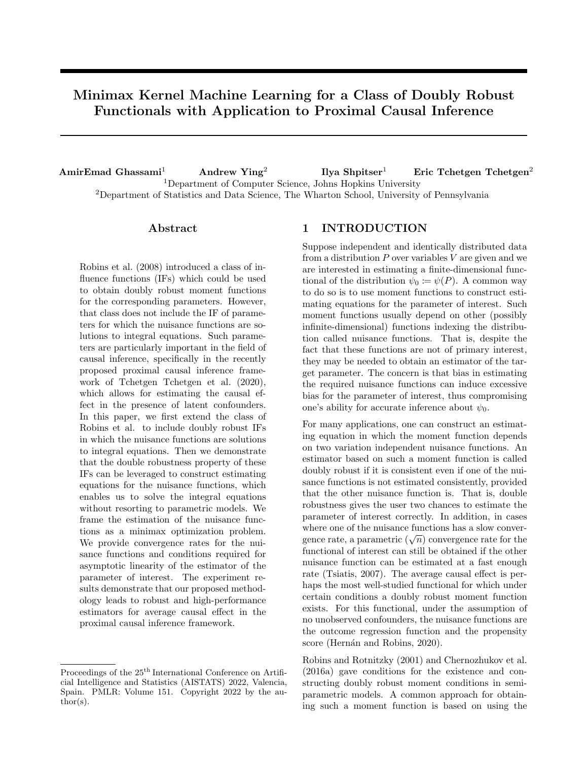# Minimax Kernel Machine Learning for a Class of Doubly Robust Functionals with Application to Proximal Causal Inference

AmirEmad Ghassami<sup>1</sup> Andrew Ying<sup>2</sup> Ilya Shpitser<sup>1</sup> Eric Tchetgen Tchetgen<sup>2</sup> <sup>1</sup>Department of Computer Science, Johns Hopkins University <sup>2</sup>Department of Statistics and Data Science, The Wharton School, University of Pennsylvania

### Abstract

Robins et al. (2008) introduced a class of influence functions (IFs) which could be used to obtain doubly robust moment functions for the corresponding parameters. However, that class does not include the IF of parameters for which the nuisance functions are solutions to integral equations. Such parameters are particularly important in the field of causal inference, specifically in the recently proposed proximal causal inference framework of Tchetgen Tchetgen et al. (2020), which allows for estimating the causal effect in the presence of latent confounders. In this paper, we first extend the class of Robins et al. to include doubly robust IFs in which the nuisance functions are solutions to integral equations. Then we demonstrate that the double robustness property of these IFs can be leveraged to construct estimating equations for the nuisance functions, which enables us to solve the integral equations without resorting to parametric models. We frame the estimation of the nuisance functions as a minimax optimization problem. We provide convergence rates for the nuisance functions and conditions required for asymptotic linearity of the estimator of the parameter of interest. The experiment results demonstrate that our proposed methodology leads to robust and high-performance estimators for average causal effect in the proximal causal inference framework.

### 1 INTRODUCTION

Suppose independent and identically distributed data from a distribution *P* over variables *V* are given and we are interested in estimating a finite-dimensional functional of the distribution  $\psi_0 := \psi(P)$ . A common way to do so is to use moment functions to construct estimating equations for the parameter of interest. Such moment functions usually depend on other (possibly infinite-dimensional) functions indexing the distribution called nuisance functions. That is, despite the fact that these functions are not of primary interest, they may be needed to obtain an estimator of the target parameter. The concern is that bias in estimating the required nuisance functions can induce excessive bias for the parameter of interest, thus compromising one's ability for accurate inference about  $\psi_0$ .

For many applications, one can construct an estimating equation in which the moment function depends on two variation independent nuisance functions. An estimator based on such a moment function is called doubly robust if it is consistent even if one of the nuisance functions is not estimated consistently, provided that the other nuisance function is. That is, double robustness gives the user two chances to estimate the parameter of interest correctly. In addition, in cases where one of the nuisance functions has a slow convergence rate, a parametric  $(\sqrt{n})$  convergence rate for the functional of interest can still be obtained if the other nuisance function can be estimated at a fast enough rate (Tsiatis, 2007). The average causal effect is perhaps the most well-studied functional for which under certain conditions a doubly robust moment function exists. For this functional, under the assumption of no unobserved confounders, the nuisance functions are the outcome regression function and the propensity score (Hernán and Robins, 2020).

Robins and Rotnitzky (2001) and Chernozhukov et al. (2016a) gave conditions for the existence and constructing doubly robust moment conditions in semiparametric models. A common approach for obtaining such a moment function is based on using the

Proceedings of the 25<sup>th</sup> International Conference on Artificial Intelligence and Statistics (AISTATS) 2022, Valencia, Spain. PMLR: Volume 151. Copyright 2022 by the author(s).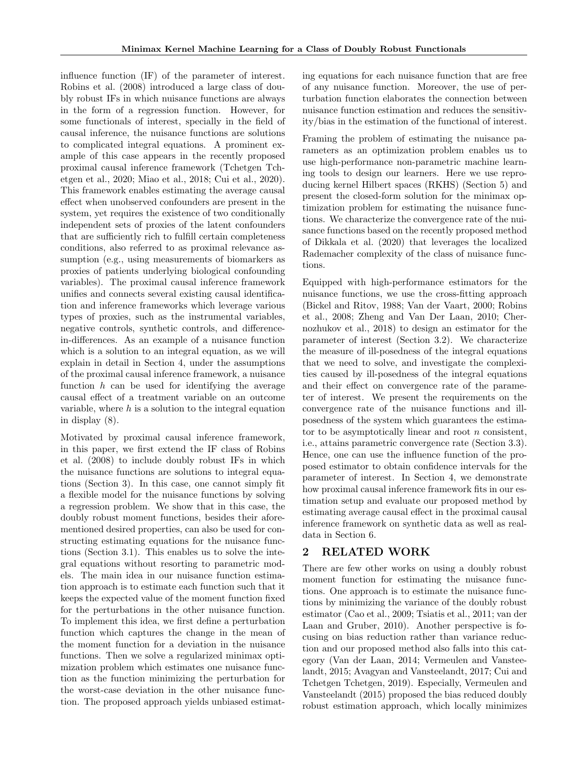influence function (IF) of the parameter of interest. Robins et al. (2008) introduced a large class of doubly robust IFs in which nuisance functions are always in the form of a regression function. However, for some functionals of interest, specially in the field of causal inference, the nuisance functions are solutions to complicated integral equations. A prominent example of this case appears in the recently proposed proximal causal inference framework (Tchetgen Tchetgen et al., 2020; Miao et al., 2018; Cui et al., 2020). This framework enables estimating the average causal effect when unobserved confounders are present in the system, yet requires the existence of two conditionally independent sets of proxies of the latent confounders that are sufficiently rich to fulfill certain completeness conditions, also referred to as proximal relevance assumption (e.g., using measurements of biomarkers as proxies of patients underlying biological confounding variables). The proximal causal inference framework unifies and connects several existing causal identification and inference frameworks which leverage various types of proxies, such as the instrumental variables, negative controls, synthetic controls, and differencein-differences. As an example of a nuisance function which is a solution to an integral equation, as we will explain in detail in Section 4, under the assumptions of the proximal causal inference framework, a nuisance function *h* can be used for identifying the average causal effect of a treatment variable on an outcome variable, where *h* is a solution to the integral equation in display (8).

Motivated by proximal causal inference framework, in this paper, we first extend the IF class of Robins et al. (2008) to include doubly robust IFs in which the nuisance functions are solutions to integral equations (Section 3). In this case, one cannot simply fit a flexible model for the nuisance functions by solving a regression problem. We show that in this case, the doubly robust moment functions, besides their aforementioned desired properties, can also be used for constructing estimating equations for the nuisance functions (Section 3.1). This enables us to solve the integral equations without resorting to parametric models. The main idea in our nuisance function estimation approach is to estimate each function such that it keeps the expected value of the moment function fixed for the perturbations in the other nuisance function. To implement this idea, we first define a perturbation function which captures the change in the mean of the moment function for a deviation in the nuisance functions. Then we solve a regularized minimax optimization problem which estimates one nuisance function as the function minimizing the perturbation for the worst-case deviation in the other nuisance function. The proposed approach yields unbiased estimating equations for each nuisance function that are free of any nuisance function. Moreover, the use of perturbation function elaborates the connection between nuisance function estimation and reduces the sensitivity/bias in the estimation of the functional of interest.

Framing the problem of estimating the nuisance parameters as an optimization problem enables us to use high-performance non-parametric machine learning tools to design our learners. Here we use reproducing kernel Hilbert spaces (RKHS) (Section 5) and present the closed-form solution for the minimax optimization problem for estimating the nuisance functions. We characterize the convergence rate of the nuisance functions based on the recently proposed method of Dikkala et al. (2020) that leverages the localized Rademacher complexity of the class of nuisance functions.

Equipped with high-performance estimators for the nuisance functions, we use the cross-fitting approach (Bickel and Ritov, 1988; Van der Vaart, 2000; Robins et al., 2008; Zheng and Van Der Laan, 2010; Chernozhukov et al., 2018) to design an estimator for the parameter of interest (Section 3.2). We characterize the measure of ill-posedness of the integral equations that we need to solve, and investigate the complexities caused by ill-posedness of the integral equations and their effect on convergence rate of the parameter of interest. We present the requirements on the convergence rate of the nuisance functions and illposedness of the system which guarantees the estimator to be asymptotically linear and root *n* consistent, i.e., attains parametric convergence rate (Section 3.3). Hence, one can use the influence function of the proposed estimator to obtain confidence intervals for the parameter of interest. In Section 4, we demonstrate how proximal causal inference framework fits in our estimation setup and evaluate our proposed method by estimating average causal effect in the proximal causal inference framework on synthetic data as well as realdata in Section 6.

### 2 RELATED WORK

There are few other works on using a doubly robust moment function for estimating the nuisance functions. One approach is to estimate the nuisance functions by minimizing the variance of the doubly robust estimator (Cao et al., 2009; Tsiatis et al., 2011; van der Laan and Gruber, 2010). Another perspective is focusing on bias reduction rather than variance reduction and our proposed method also falls into this category (Van der Laan, 2014; Vermeulen and Vansteelandt, 2015; Avagyan and Vansteelandt, 2017; Cui and Tchetgen Tchetgen, 2019). Especially, Vermeulen and Vansteelandt (2015) proposed the bias reduced doubly robust estimation approach, which locally minimizes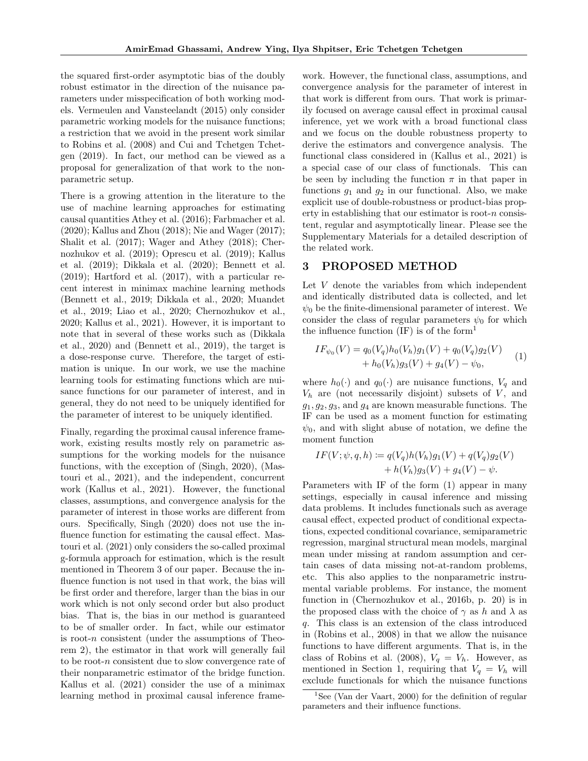the squared first-order asymptotic bias of the doubly robust estimator in the direction of the nuisance parameters under misspecification of both working models. Vermeulen and Vansteelandt (2015) only consider parametric working models for the nuisance functions; a restriction that we avoid in the present work similar to Robins et al. (2008) and Cui and Tchetgen Tchetgen (2019). In fact, our method can be viewed as a proposal for generalization of that work to the nonparametric setup.

There is a growing attention in the literature to the use of machine learning approaches for estimating causal quantities Athey et al. (2016); Farbmacher et al. (2020); Kallus and Zhou (2018); Nie and Wager (2017); Shalit et al. (2017); Wager and Athey (2018); Chernozhukov et al. (2019); Oprescu et al. (2019); Kallus et al. (2019); Dikkala et al. (2020); Bennett et al. (2019); Hartford et al. (2017), with a particular recent interest in minimax machine learning methods (Bennett et al., 2019; Dikkala et al., 2020; Muandet et al., 2019; Liao et al., 2020; Chernozhukov et al., 2020; Kallus et al., 2021). However, it is important to note that in several of these works such as (Dikkala et al., 2020) and (Bennett et al., 2019), the target is a dose-response curve. Therefore, the target of estimation is unique. In our work, we use the machine learning tools for estimating functions which are nuisance functions for our parameter of interest, and in general, they do not need to be uniquely identified for the parameter of interest to be uniquely identified.

Finally, regarding the proximal causal inference framework, existing results mostly rely on parametric assumptions for the working models for the nuisance functions, with the exception of (Singh, 2020), (Mastouri et al., 2021), and the independent, concurrent work (Kallus et al., 2021). However, the functional classes, assumptions, and convergence analysis for the parameter of interest in those works are different from ours. Specifically, Singh (2020) does not use the influence function for estimating the causal effect. Mastouri et al. (2021) only considers the so-called proximal g-formula approach for estimation, which is the result mentioned in Theorem 3 of our paper. Because the influence function is not used in that work, the bias will be first order and therefore, larger than the bias in our work which is not only second order but also product bias. That is, the bias in our method is guaranteed to be of smaller order. In fact, while our estimator is root-*n* consistent (under the assumptions of Theorem 2), the estimator in that work will generally fail to be root-*n* consistent due to slow convergence rate of their nonparametric estimator of the bridge function. Kallus et al. (2021) consider the use of a minimax learning method in proximal causal inference framework. However, the functional class, assumptions, and convergence analysis for the parameter of interest in that work is different from ours. That work is primarily focused on average causal effect in proximal causal inference, yet we work with a broad functional class and we focus on the double robustness property to derive the estimators and convergence analysis. The functional class considered in (Kallus et al., 2021) is a special case of our class of functionals. This can be seen by including the function  $\pi$  in that paper in functions  $g_1$  and  $g_2$  in our functional. Also, we make explicit use of double-robustness or product-bias property in establishing that our estimator is root-*n* consistent, regular and asymptotically linear. Please see the Supplementary Materials for a detailed description of the related work.

### 3 PROPOSED METHOD

Let *V* denote the variables from which independent and identically distributed data is collected, and let  $\psi_0$  be the finite-dimensional parameter of interest. We consider the class of regular parameters  $\psi_0$  for which the influence function  $(\text{IF})$  is of the form<sup>1</sup>

$$
IF_{\psi_0}(V) = q_0(V_q)h_0(V_h)g_1(V) + q_0(V_q)g_2(V) + h_0(V_h)g_3(V) + g_4(V) - \psi_0,
$$
(1)

where  $h_0(\cdot)$  and  $q_0(\cdot)$  are nuisance functions,  $V_q$  and  $V_h$  are (not necessarily disjoint) subsets of  $V$ , and *g*1*, g*2*, g*3, and *g*<sup>4</sup> are known measurable functions. The IF can be used as a moment function for estimating  $\psi_0$ , and with slight abuse of notation, we define the moment function

$$
IF(V; \psi, q, h) := q(V_q)h(V_h)g_1(V) + q(V_q)g_2(V) + h(V_h)g_3(V) + g_4(V) - \psi.
$$

Parameters with IF of the form (1) appear in many settings, especially in causal inference and missing data problems. It includes functionals such as average causal effect, expected product of conditional expectations, expected conditional covariance, semiparametric regression, marginal structural mean models, marginal mean under missing at random assumption and certain cases of data missing not-at-random problems, etc. This also applies to the nonparametric instrumental variable problems. For instance, the moment function in (Chernozhukov et al., 2016b, p. 20) is in the proposed class with the choice of  $\gamma$  as *h* and  $\lambda$  as *q*. This class is an extension of the class introduced in (Robins et al., 2008) in that we allow the nuisance functions to have different arguments. That is, in the class of Robins et al. (2008),  $V_q = V_h$ . However, as mentioned in Section 1, requiring that  $V_q = V_h$  will exclude functionals for which the nuisance functions

<sup>&</sup>lt;sup>1</sup>See (Van der Vaart, 2000) for the definition of regular parameters and their influence functions.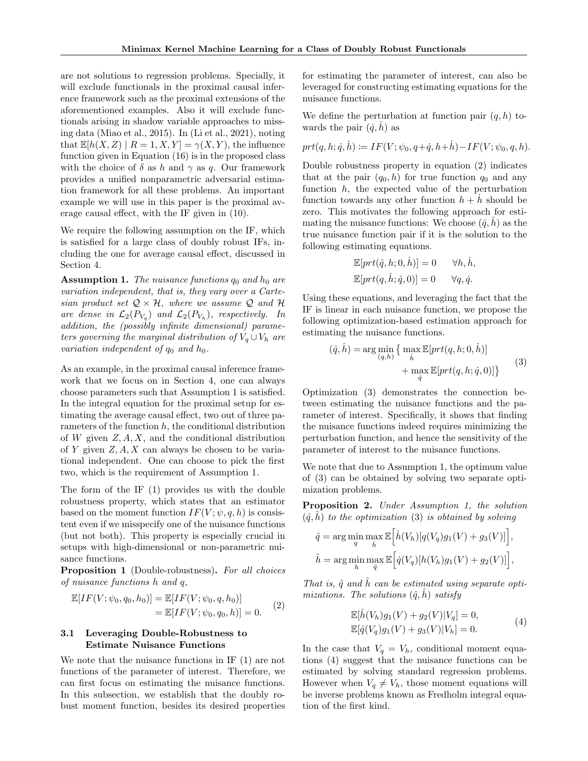are not solutions to regression problems. Specially, it will exclude functionals in the proximal causal inference framework such as the proximal extensions of the aforementioned examples. Also it will exclude functionals arising in shadow variable approaches to missing data (Miao et al., 2015). In (Li et al., 2021), noting that  $\mathbb{E}[h(X, Z) | R = 1, X, Y] = \gamma(X, Y)$ , the influence function given in Equation (16) is in the proposed class with the choice of  $\delta$  as  $h$  and  $\gamma$  as  $q$ . Our framework provides a unified nonparametric adversarial estimation framework for all these problems. An important example we will use in this paper is the proximal average causal effect, with the IF given in  $(10)$ .

We require the following assumption on the IF, which is satisfied for a large class of doubly robust IFs, including the one for average causal effect, discussed in Section 4.

Assumption 1. *The nuisance functions q*<sup>0</sup> *and h*<sup>0</sup> *are variation independent, that is, they vary over a Cartesian product set*  $Q \times H$ *, where we assume*  $Q$  *and*  $H$ *are dense in*  $\mathcal{L}_2(P_{V_a})$  *and*  $\mathcal{L}_2(P_{V_h})$ *, respectively. In addition, the (possibly infinite dimensional) parameters governing the marginal distribution of*  $V_a \cup V_b$  *are variation independent of*  $q_0$  *and*  $h_0$ *.* 

As an example, in the proximal causal inference framework that we focus on in Section 4, one can always choose parameters such that Assumption 1 is satisfied. In the integral equation for the proximal setup for estimating the average causal effect, two out of three parameters of the function *h*, the conditional distribution of *W* given *Z, A, X*, and the conditional distribution of *Y* given *Z, A, X* can always be chosen to be variational independent. One can choose to pick the first two, which is the requirement of Assumption 1.

The form of the IF (1) provides us with the double robustness property, which states that an estimator based on the moment function  $IF(V; \psi, q, h)$  is consistent even if we misspecify one of the nuisance functions (but not both). This property is especially crucial in setups with high-dimensional or non-parametric nuisance functions.

Proposition 1 (Double-robustness). *For all choices of nuisance functions h and q,*

$$
\mathbb{E}[IF(V; \psi_0, q_0, h_0)] = \mathbb{E}[IF(V; \psi_0, q, h_0)]
$$
  
=  $\mathbb{E}[IF(V; \psi_0, q_0, h)] = 0.$  (2)

### 3.1 Leveraging Double-Robustness to Estimate Nuisance Functions

We note that the nuisance functions in IF (1) are not functions of the parameter of interest. Therefore, we can first focus on estimating the nuisance functions. In this subsection, we establish that the doubly robust moment function, besides its desired properties for estimating the parameter of interest, can also be leveraged for constructing estimating equations for the nuisance functions.

We define the perturbation at function pair  $(q, h)$  towards the pair  $(\dot{q}, \dot{h})$  as

$$
prt(q,h;\dot q,\dot h) \coloneqq IF(V;\psi_0,q+\dot q,h+\dot h) - IF(V;\psi_0,q,h).
$$

Double robustness property in equation (2) indicates that at the pair  $(q_0, h)$  for true function  $q_0$  and any function *h*, the expected value of the perturbation function towards any other function  $h + h$  should be zero. This motivates the following approach for estimating the nuisance functions: We choose  $(\hat{q}, h)$  as the true nuisance function pair if it is the solution to the following estimating equations.

$$
\mathbb{E}[prt(\hat{q}, h; 0, \dot{h})] = 0 \quad \forall h, \dot{h},
$$
  

$$
\mathbb{E}[prt(q, \hat{h}; \dot{q}, 0)] = 0 \quad \forall q, \dot{q}.
$$

Using these equations, and leveraging the fact that the IF is linear in each nuisance function, we propose the following optimization-based estimation approach for estimating the nuisance functions.

$$
(\hat{q}, \hat{h}) = \arg\min_{(q,h)} \left\{ \max_{\hat{h}} \mathbb{E}[prt(q, h; 0, \hat{h})] + \max_{\hat{q}} \mathbb{E}[prt(q, h; \dot{q}, 0)] \right\}
$$
(3)

Optimization (3) demonstrates the connection between estimating the nuisance functions and the parameter of interest. Specifically, it shows that finding the nuisance functions indeed requires minimizing the perturbation function, and hence the sensitivity of the parameter of interest to the nuisance functions.

We note that due to Assumption 1, the optimum value of (3) can be obtained by solving two separate optimization problems.

Proposition 2. *Under Assumption 1, the solution*  $(\hat{q}, h)$  *to the optimization* (3) *is obtained by solving* 

$$
\hat{q} = \arg\min_{q} \max_{h} \mathbb{E}\Big[\dot{h}(V_h)[q(V_q)g_1(V) + g_3(V)]\Big],
$$
  

$$
\hat{h} = \arg\min_{h} \max_{q} \mathbb{E}\Big[\dot{q}(V_q)[h(V_h)g_1(V) + g_2(V)]\Big],
$$

*That is,*  $\hat{q}$  *and*  $\hat{h}$  *can be estimated using separate optimizations. The solutions*  $(\hat{q}, h)$  *satisfy* 

$$
\mathbb{E}[\hat{h}(V_h)g_1(V) + g_2(V)|V_q] = 0,\n\mathbb{E}[\hat{q}(V_q)g_1(V) + g_3(V)|V_h] = 0.
$$
\n(4)

In the case that  $V_q = V_h$ , conditional moment equations (4) suggest that the nuisance functions can be estimated by solving standard regression problems. However when  $V_q \neq V_h$ , those moment equations will be inverse problems known as Fredholm integral equation of the first kind.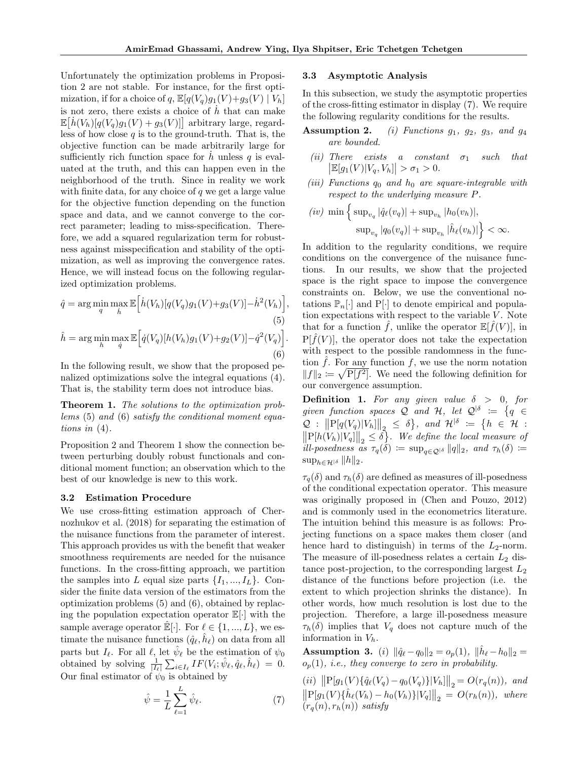Unfortunately the optimization problems in Proposition 2 are not stable. For instance, for the first optimization, if for a choice of  $q$ ,  $\mathbb{E}[q(V_q)g_1(V)+g_3(V) | V_h]$ is not zero, there exists a choice of *h*˙ that can make  $\mathbb{E}\left[\dot{h}(V_h)[q(V_q)g_1(V) + g_3(V)]\right]$  arbitrary large, regardless of how close *q* is to the ground-truth. That is, the objective function can be made arbitrarily large for sufficiently rich function space for  $\dot{h}$  unless  $q$  is evaluated at the truth, and this can happen even in the neighborhood of the truth. Since in reality we work with finite data, for any choice of *q* we get a large value for the objective function depending on the function space and data, and we cannot converge to the correct parameter; leading to miss-specification. Therefore, we add a squared regularization term for robustness against misspecification and stability of the optimization, as well as improving the convergence rates. Hence, we will instead focus on the following regularized optimization problems.

$$
\hat{q} = \arg\min_{q} \max_{h} \mathbb{E}\Big[\dot{h}(V_h)[q(V_q)g_1(V) + g_3(V)] - \dot{h}^2(V_h)\Big],
$$
\n(5)  
\n
$$
\hat{h} = \arg\min_{h} \max_{q} \mathbb{E}\Big[\dot{q}(V_q)[h(V_h)g_1(V) + g_2(V)] - \dot{q}^2(V_q)\Big].
$$
\n(6)

In the following result, we show that the proposed penalized optimizations solve the integral equations (4). That is, the stability term does not introduce bias.

Theorem 1. *The solutions to the optimization problems* (5) *and* (6) *satisfy the conditional moment equations in* (4)*.*

Proposition 2 and Theorem 1 show the connection between perturbing doubly robust functionals and conditional moment function; an observation which to the best of our knowledge is new to this work.

#### 3.2 Estimation Procedure

We use cross-fitting estimation approach of Chernozhukov et al. (2018) for separating the estimation of the nuisance functions from the parameter of interest. This approach provides us with the benefit that weaker smoothness requirements are needed for the nuisance functions. In the cross-fitting approach, we partition the samples into *L* equal size parts  $\{I_1, ..., I_L\}$ . Consider the finite data version of the estimators from the optimization problems (5) and (6), obtained by replacing the population expectation operator E[*·*] with the sample average operator  $\mathbb{E}[\cdot]$ . For  $\ell \in \{1, ..., L\}$ , we estimate the nuisance functions  $(\hat{q}_{\ell}, \hat{h}_{\ell})$  on data from all parts but  $I_\ell$ . For all  $\ell$ , let  $\hat{\psi}_\ell$  be the estimation of  $\psi_0$ obtained by solving  $\frac{1}{|I_{\ell}|}\sum_{i\in I_{\ell}}IF(V_i;\hat{\psi}_{\ell},\hat{q}_{\ell},\hat{h}_{\ell}) = 0.$ Our final estimator of  $\psi_0$  is obtained by

$$
\hat{\psi} = \frac{1}{L} \sum_{\ell=1}^{L} \hat{\psi}_{\ell}.
$$
\n(7)

#### 3.3 Asymptotic Analysis

In this subsection, we study the asymptotic properties of the cross-fitting estimator in display (7). We require the following regularity conditions for the results.

- Assumption 2. *(i) Functions g*1*, g*2*, g*3*, and g*<sup>4</sup> *are bounded.*
	- *(ii) There exists a constant*  $\sigma_1$  *such that*  $|\mathbb{E}[g_1(V)|V_q, V_h]| > \sigma_1 > 0.$
- *(iii) Functions q*<sup>0</sup> *and h*<sup>0</sup> *are square-integrable with respect to the underlying measure P.*
- $(iv)$  min  $\left\{ \text{ sup}_{v_q} | \hat{q}_{\ell}(v_q) | + \text{sup}_{v_h} |h_0(v_h)|, \right\}$  $\sup_{v_q} |q_0(v_q)| + \sup_{v_h} |\hat{h}_{\ell}(v_h)| \Big\} < \infty.$

In addition to the regularity conditions, we require conditions on the convergence of the nuisance functions. In our results, we show that the projected space is the right space to impose the convergence constraints on. Below, we use the conventional notations  $\mathbb{P}_n[\cdot]$  and  $P[\cdot]$  to denote empirical and population expectations with respect to the variable *V*. Note that for a function  $\hat{f}$ , unlike the operator  $\mathbb{E}[\hat{f}(V)]$ , in  $P[\hat{f}(V)]$ , the operator does not take the expectation with respect to the possible randomness in the function  $\hat{f}$ . For any function  $f$ , we use the norm notation  $||f||_2 \coloneqq \sqrt{P[f^2]}$ . We need the following definition for our convergence assumption.

**Definition 1.** For any given value  $\delta > 0$ , for *given function spaces*  $Q$  *and*  $H$ *, let*  $Q^{\dagger \delta}$  :=  $\{q \in$  $\mathcal{Q}:$   $\left\|P[q(V_q)|V_h]\right\|_2 \leq \delta$ , and  $\mathcal{H}^{\mid \delta} := \{h \in \mathcal{H} :$ <br> $\left\|P[h(V_h)|V_q]\right\|_2 \leq \delta\}$ . We define the local measure of  $i\ell l$ -posedness as  $\tau_q(\delta) := \sup_{q \in \mathcal{Q}^{|\delta}} ||q||_2$ , and  $\tau_h(\delta) :=$  $\sup_{h \in \mathcal{H}^{\vert \delta}} \|h\|_2.$ 

 $\tau_q(\delta)$  and  $\tau_h(\delta)$  are defined as measures of ill-posedness of the conditional expectation operator. This measure was originally proposed in (Chen and Pouzo, 2012) and is commonly used in the econometrics literature. The intuition behind this measure is as follows: Projecting functions on a space makes them closer (and hence hard to distinguish) in terms of the *L*2-norm. The measure of ill-posedness relates a certain *L*<sup>2</sup> distance post-projection, to the corresponding largest *L*<sup>2</sup> distance of the functions before projection (i.e. the extent to which projection shrinks the distance). In other words, how much resolution is lost due to the projection. Therefore, a large ill-posedness measure  $\tau_h(\delta)$  implies that  $V_q$  does not capture much of the information in *Vh*.

**Assumption 3.** (*i*)  $\|\hat{q}_{\ell} - q_0\|_2 = o_p(1)$ ,  $\|\hat{h}_{\ell} - h_0\|_2 =$  $o_p(1)$ *, i.e., they converge to zero in probability.* 

 $(iii)$   $\left\| P[g_1(V)\{\hat{q}_{\ell}(V_q) - q_0(V_q)\} |V_h]\right\|_2 = O(r_q(n)),$  and  $\left\| P[g_1(V)\{\hat{h}_\ell(V_h) - h_0(V_h)\}|V_q] \right\|_2 = O(r_h(n)),$  where  $(r_a(n), r_h(n))$  *satisfy*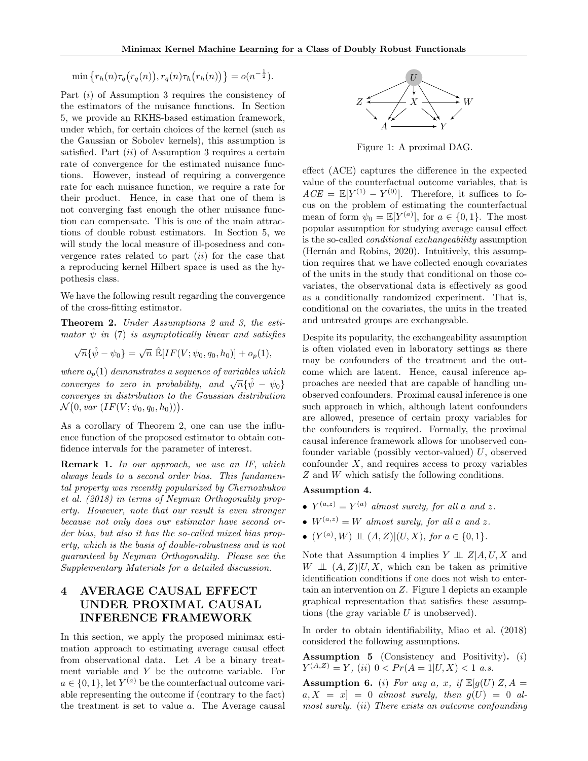$$
\min\left\{r_h(n)\tau_q\big(r_q(n)\big), r_q(n)\tau_h\big(r_h(n)\big)\right\} = o(n^{-\frac{1}{2}}).
$$

Part (*i*) of Assumption 3 requires the consistency of the estimators of the nuisance functions. In Section 5, we provide an RKHS-based estimation framework, under which, for certain choices of the kernel (such as the Gaussian or Sobolev kernels), this assumption is satisfied. Part (*ii*) of Assumption 3 requires a certain rate of convergence for the estimated nuisance functions. However, instead of requiring a convergence rate for each nuisance function, we require a rate for their product. Hence, in case that one of them is not converging fast enough the other nuisance function can compensate. This is one of the main attractions of double robust estimators. In Section 5, we will study the local measure of ill-posedness and convergence rates related to part (*ii*) for the case that a reproducing kernel Hilbert space is used as the hypothesis class.

We have the following result regarding the convergence of the cross-fitting estimator.

Theorem 2. *Under Assumptions 2 and 3, the estimator*  $\psi$  *in* (7) *is asymptotically linear and satisfies* 

$$
\sqrt{n}\{\hat{\psi} - \psi_0\} = \sqrt{n} \ \hat{\mathbb{E}}[IF(V; \psi_0, q_0, h_0)] + o_p(1),
$$

*where*  $o_p(1)$  *demonstrates a sequence of variables which converges to zero in probability, and*  $\sqrt{n} \{\hat{\psi} - \psi_0\}$ *converges in distribution to the Gaussian distribution*  $N(0, var (IF(V; \psi_0, q_0, h_0)))$ .

As a corollary of Theorem 2, one can use the influence function of the proposed estimator to obtain confidence intervals for the parameter of interest.

Remark 1. *In our approach, we use an IF, which always leads to a second order bias. This fundamental property was recently popularized by Chernozhukov et al. (2018) in terms of Neyman Orthogonality property. However, note that our result is even stronger because not only does our estimator have second order bias, but also it has the so-called mixed bias property, which is the basis of double-robustness and is not guaranteed by Neyman Orthogonality. Please see the Supplementary Materials for a detailed discussion.*

# 4 AVERAGE CAUSAL EFFECT UNDER PROXIMAL CAUSAL INFERENCE FRAMEWORK

In this section, we apply the proposed minimax estimation approach to estimating average causal effect from observational data. Let *A* be a binary treatment variable and *Y* be the outcome variable. For  $a \in \{0, 1\}$ , let  $Y^{(a)}$  be the counterfactual outcome variable representing the outcome if (contrary to the fact) the treatment is set to value *a*. The Average causal



Figure 1: A proximal DAG.

 $effect$   $(ACE)$  captures the difference in the expected value of the counterfactual outcome variables, that is  $ACE = \mathbb{E}[Y^{(1)} - Y^{(0)}]$ . Therefore, it suffices to focus on the problem of estimating the counterfactual mean of form  $\psi_0 = \mathbb{E}[Y^{(a)}]$ , for  $a \in \{0, 1\}$ . The most popular assumption for studying average causal effect is the so-called *conditional exchangeability* assumption (Hernán and Robins, 2020). Intuitively, this assumption requires that we have collected enough covariates of the units in the study that conditional on those covariates, the observational data is effectively as good as a conditionally randomized experiment. That is, conditional on the covariates, the units in the treated and untreated groups are exchangeable.

Despite its popularity, the exchangeability assumption is often violated even in laboratory settings as there may be confounders of the treatment and the outcome which are latent. Hence, causal inference approaches are needed that are capable of handling unobserved confounders. Proximal causal inference is one such approach in which, although latent confounders are allowed, presence of certain proxy variables for the confounders is required. Formally, the proximal causal inference framework allows for unobserved confounder variable (possibly vector-valued) *U*, observed confounder *X*, and requires access to proxy variables *Z* and *W* which satisfy the following conditions.

#### Assumption 4.

- $Y^{(a,z)} = Y^{(a)}$  *almost surely, for all a and z.*
- $W^{(a,z)} = W$  *almost surely, for all a and z.*
- $(Y^{(a)}, W) \perp (A, Z) | (U, X),$  for  $a \in \{0, 1\}$ *.*

Note that Assumption 4 implies  $Y \perp Z | A, U, X$  and  $W \perp\!\!\!\perp (A, Z)|U, X$ , which can be taken as primitive identification conditions if one does not wish to entertain an intervention on *Z*. Figure 1 depicts an example graphical representation that satisfies these assumptions (the gray variable *U* is unobserved).

In order to obtain identifiability, Miao et al. (2018) considered the following assumptions.

Assumption 5 (Consistency and Positivity). (*i*)  $Y^{(A,Z)} = Y$ , (*ii*)  $0 \leq Pr(A=1|U, X) \leq 1$  *a.s.* 

Assumption 6. (*i*) *For any a*, *x*, *if*  $\mathbb{E}[g(U)|Z, A]$  $a, X = x$  = 0 *almost surely, then*  $g(U) = 0$  *almost surely.* (*ii*) *There exists an outcome confounding*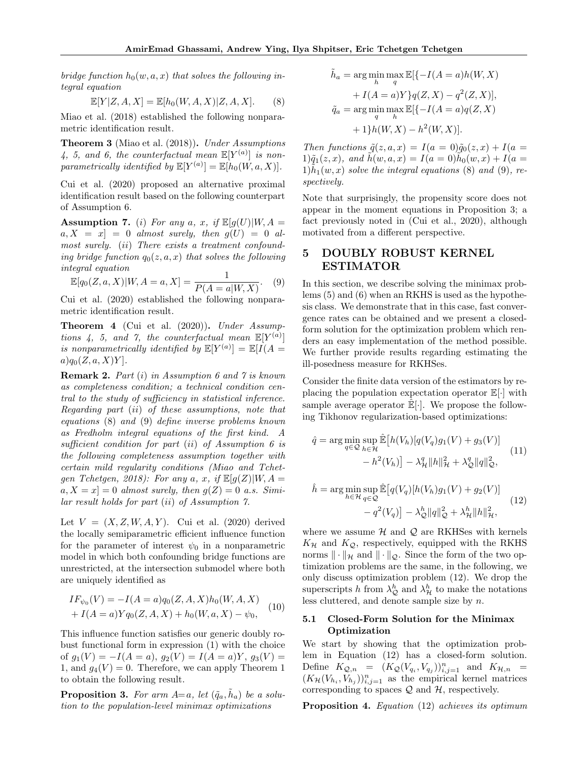*bridge function*  $h_0(w, a, x)$  *that solves the following integral equation*

$$
\mathbb{E}[Y|Z, A, X] = \mathbb{E}[h_0(W, A, X)|Z, A, X].
$$
 (8)

Miao et al. (2018) established the following nonparametric identification result.

Theorem 3 (Miao et al. (2018)). *Under Assumptions*  $4, 5, and 6, the counterfactual mean  $\mathbb{E}[Y^{(a)}]$  is non$ *parametrically identified by*  $\mathbb{E}[Y^{(a)}] = \mathbb{E}[h_0(W, a, X)].$ 

Cui et al. (2020) proposed an alternative proximal identification result based on the following counterpart of Assumption 6.

Assumption 7. (*i*) *For any a*, *x*, *if*  $\mathbb{E}[g(U)|W, A =$  $a, X = x$  = 0 *almost surely, then*  $g(U) = 0$  *almost surely.* (*ii*) *There exists a treatment confounding bridge function*  $q_0(z, a, x)$  *that solves the following integral equation*

$$
\mathbb{E}[q_0(Z, a, X)|W, A = a, X] = \frac{1}{P(A = a|W, X)}.
$$
 (9)

Cui et al. (2020) established the following nonparametric identification result.

Theorem 4 (Cui et al. (2020)). *Under Assumptions 4, 5, and 7, the counterfactual mean*  $\mathbb{E}[Y^{(a)}]$ *is nonparametrically identified by*  $\mathbb{E}[Y^{(a)}] = \mathbb{E}[I(A =$ *a*)*q*0(*Z, a, X*)*Y* ]*.*

Remark 2. *Part* (*i*) *in Assumption 6 and 7 is known as completeness condition; a technical condition central to the study of sufficiency in statistical inference. Regarding part* (*ii*) *of these assumptions, note that equations* (8) *and* (9) *define inverse problems known as Fredholm integral equations of the first kind. A sucient condition for part* (*ii*) *of Assumption 6 is the following completeness assumption together with certain mild regularity conditions (Miao and Tchetgen Tchetgen, 2018): For any*  $a, x, if E[g(Z)|W, A =$  $a, X = x$  = 0 *almost surely, then*  $g(Z) = 0$  *a.s. Similar result holds for part* (*ii*) *of Assumption 7.*

Let  $V = (X, Z, W, A, Y)$ . Cui et al. (2020) derived the locally semiparametric efficient influence function for the parameter of interest  $\psi_0$  in a nonparametric model in which both confounding bridge functions are unrestricted, at the intersection submodel where both are uniquely identified as

$$
IF_{\psi_0}(V) = -I(A = a)q_0(Z, A, X)h_0(W, A, X)
$$
  
+  $I(A = a)Yq_0(Z, A, X) + h_0(W, a, X) - \psi_0,$  (10)

This influence function satisfies our generic doubly robust functional form in expression (1) with the choice of  $g_1(V) = -I(A = a)$ ,  $g_2(V) = I(A = a)Y$ ,  $g_3(V) =$ 1, and  $q_4(V) = 0$ . Therefore, we can apply Theorem 1 to obtain the following result.

**Proposition 3.** For arm  $A=a$ , let  $(\tilde{q}_a, \tilde{h}_a)$  be a solu*tion to the population-level minimax optimizations*

$$
\tilde{h}_a = \arg\min_h \max_q \mathbb{E}[\{-I(A=a)h(W, X) + I(A=a)Y\}q(Z, X) - q^2(Z, X)],
$$
  
\n
$$
\tilde{q}_a = \arg\min_q \max_h \mathbb{E}[\{-I(A=a)q(Z, X) + 1\}h(W, X) - h^2(W, X)].
$$

*Then functions*  $\tilde{q}(z, a, x) = I(a = 0)\tilde{q}_0(z, x) + I(a = 0)$  $1)\tilde{q}_1(z, x)$ *, and*  $\tilde{h}(w, a, x) = I(a = 0)\tilde{h}_0(w, x) + I(a = 0)$  $1)$  $h_1(w, x)$  *solve the integral equations* (8) *and* (9)*, respectively.*

Note that surprisingly, the propensity score does not appear in the moment equations in Proposition 3; a fact previously noted in (Cui et al., 2020), although motivated from a different perspective.

# 5 DOUBLY ROBUST KERNEL ESTIMATOR

In this section, we describe solving the minimax problems (5) and (6) when an RKHS is used as the hypothesis class. We demonstrate that in this case, fast convergence rates can be obtained and we present a closedform solution for the optimization problem which renders an easy implementation of the method possible. We further provide results regarding estimating the ill-posedness measure for RKHSes.

Consider the finite data version of the estimators by replacing the population expectation operator E[*·*] with sample average operator  $\mathbb{E}[\cdot]$ . We propose the following Tikhonov regularization-based optimizations:

$$
\hat{q} = \arg\min_{q \in \mathcal{Q}} \sup_{h \in \mathcal{H}} \hat{\mathbb{E}}\left[h(V_h)[q(V_q)g_1(V) + g_3(V)]\right] - h^2(V_h)\right] - \lambda_{\mathcal{H}}^q \|h\|_{\mathcal{H}}^2 + \lambda_{\mathcal{Q}}^q \|q\|_{\mathcal{Q}}^2,
$$
\n(11)

$$
\hat{h} = \arg\min_{h \in \mathcal{H}} \sup_{q \in \mathcal{Q}} \hat{\mathbb{E}}\left[q(V_q)[h(V_h)g_1(V) + g_2(V)]\right] \n- q^2(V_q)\right] - \lambda_{\mathcal{Q}}^h \|q\|_{\mathcal{Q}}^2 + \lambda_{\mathcal{H}}^h \|h\|_{\mathcal{H}}^2,
$$
\n(12)

where we assume  $H$  and  $Q$  are RKHSes with kernels  $K_{\mathcal{H}}$  and  $K_{\mathcal{Q}}$ , respectively, equipped with the RKHS norms  $\|\cdot\|_{\mathcal{H}}$  and  $\|\cdot\|_{\mathcal{Q}}$ . Since the form of the two optimization problems are the same, in the following, we only discuss optimization problem (12). We drop the superscripts *h* from  $\lambda_{\mathcal{Q}}^h$  and  $\lambda_{\mathcal{H}}^h$  to make the notations less cluttered, and denote sample size by *n*.

#### 5.1 Closed-Form Solution for the Minimax Optimization

We start by showing that the optimization problem in Equation (12) has a closed-form solution. Define  $K_{\mathcal{Q},n} = (K_{\mathcal{Q}}(V_{q_i}, V_{q_j}))_{i,j=1}^n$  and  $K_{\mathcal{H},n} =$  $(K_H(V_{h_i}, V_{h_j}))_{i,j=1}^n$  as the empirical kernel matrices corresponding to spaces *Q* and *H*, respectively.

Proposition 4. *Equation* (12) *achieves its optimum*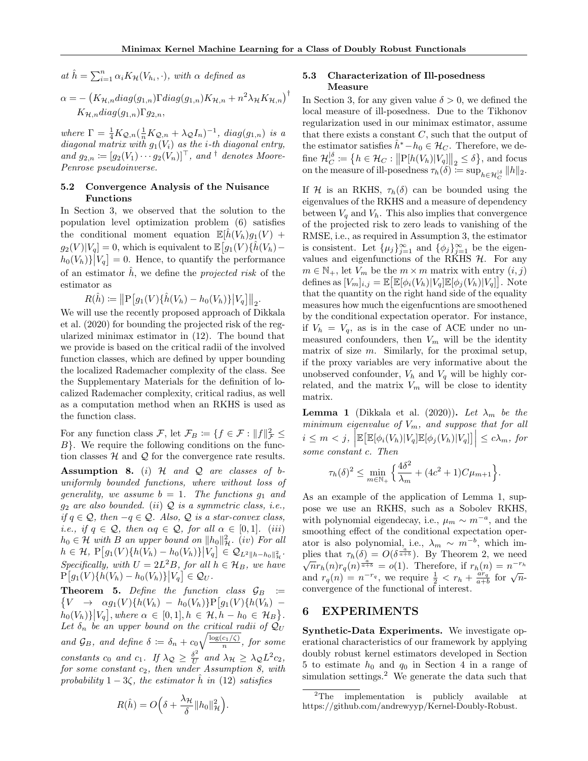$a_n t \hat{h} = \sum_{i=1}^n \alpha_i K_H(V_{h_i}, \cdot)$ *, with*  $\alpha$  *defined as* 

$$
\alpha = -\left(K_{\mathcal{H},n}diag(g_{1,n})\Gamma diag(g_{1,n})K_{\mathcal{H},n} + n^2\lambda_{\mathcal{H}}K_{\mathcal{H},n}\right)^{\dagger}
$$

$$
K_{\mathcal{H},n}diag(g_{1,n})\Gamma g_{2,n},
$$

 $where \Gamma = \frac{1}{4}K_{\mathcal{Q},n}(\frac{1}{n}K_{\mathcal{Q},n} + \lambda_{\mathcal{Q}}I_n)^{-1}, diag(g_{1,n}) \text{ is a}$ *diagonal matrix with*  $g_1(V_i)$  *as the <i>i*-th diagonal entry,  $\mathbf{a}$  *and*  $g_{2,n} \coloneqq [g_2(V_1) \cdots g_2(V_n)]^{\top}$ , and <sup>†</sup> *denotes Moore-Penrose pseudoinverse.*

#### 5.2 Convergence Analysis of the Nuisance Functions

In Section 3, we observed that the solution to the population level optimization problem (6) satisfies the conditional moment equation  $\mathbb{E}[h(V_h)g_1(V)] +$  $g_2(V)|V_q| = 0$ , which is equivalent to  $\mathbb{E}\big[g_1(V)\{\hat{h}(V_h)$  $h_0(V_h)$ }<sup>[</sup> $V_q$ ] = 0. Hence, to quantify the performance of an estimator  $\hat{h}$ , we define the *projected risk* of the estimator as

 $R(\hat{h}) := \left\| P \left[ g_1(V) \{ \hat{h}(V_h) - h_0(V_h) \} \right| V_q \right] \right\|_2.$ 

We will use the recently proposed approach of Dikkala et al. (2020) for bounding the projected risk of the regularized minimax estimator in (12). The bound that we provide is based on the critical radii of the involved function classes, which are defined by upper bounding the localized Rademacher complexity of the class. See the Supplementary Materials for the definition of localized Rademacher complexity, critical radius, as well as a computation method when an RKHS is used as the function class.

For any function class  $\mathcal{F}$ , let  $\mathcal{F}_B := \{f \in \mathcal{F} : ||f||^2_{\mathcal{F}} \leq$ *B}*. We require the following conditions on the function classes *H* and *Q* for the convergence rate results.

Assumption 8. (*i*) *H and Q are classes of buniformly bounded functions, where without loss of generality, we assume*  $b = 1$ *. The functions*  $g_1$  *and g*<sup>2</sup> *are also bounded.* (*ii*) *Q is a symmetric class, i.e., if*  $q \in \mathcal{Q}$ , then  $-q \in \mathcal{Q}$ . Also,  $\mathcal{Q}$  *is a star-convex class, i.e., if*  $q \in \mathcal{Q}$ *, then*  $\alpha q \in \mathcal{Q}$ *, for all*  $\alpha \in [0, 1]$ *. (iii)*  $h_0 \in \mathcal{H}$  *with B an upper bound on*  $||h_0||^2_{\mathcal{H}}$ . (*iv*) *For all*  $h \in \mathcal{H}$ ,  $P[g_1(V)\{h(V_h) - h_0(V_h)\} \Big| V_q \Big] \in \mathcal{Q}_{L^2 \|h - h_0\|_{\mathcal{H}}^2}$ . *Specifically, with*  $U = 2L^2B$ *, for all*  $h \in \mathcal{H}_B$ *, we have*  $P[g_1(V)\{h(V_h) - h_0(V_h)\}|V_q] \in \mathcal{Q}_U$ .

**Theorem 5.** Define the function class  $\mathcal{G}_B := \{V \rightarrow \alpha g_1(V)\{h(V_h) - h_0(V_h)\}P[g_1(V)\{h(V_h) - h_1(V_h)\}]$  $\hat{h}_0(V_h) \big| V_q \big|$ , where  $\alpha \in [0,1], h \in \mathcal{H}, h - h_0 \in \mathcal{H}_B \big\}$ . Let  $\delta_n$  be an upper bound on the critical radii of  $Q_U$ *and*  $\mathcal{G}_B$ *, and define*  $\delta := \delta_n + c_0 \sqrt{\frac{\log(c_1/\zeta)}{n}}$ *, for some constants*  $c_0$  *and*  $c_1$ *. If*  $\lambda_{\mathcal{Q}} \geq \frac{\delta^2}{U}$  *and*  $\lambda_{\mathcal{H}} \geq \lambda_{\mathcal{Q}} L^2 c_2$ *, for some constant c*2*, then under Assumption 8, with probability*  $1 - 3\zeta$ *, the estimator*  $\hat{h}$  *in* (12) *satisfies* 

# $R(\hat{h}) = O\left(\delta + \frac{\lambda_{\mathcal{H}}}{\delta} \|h_0\|_{\mathcal{H}}^2\right)$ ⌘ *.*

### 5.3 Characterization of Ill-posedness Measure

In Section 3, for any given value  $\delta > 0$ , we defined the local measure of ill-posedness. Due to the Tikhonov regularization used in our minimax estimator, assume that there exists a constant *C*, such that the output of the estimator satisfies  $\hat{h}^* - h_0 \in \mathcal{H}_C$ . Therefore, we define  $\mathcal{H}_C^{\delta} := \left\{ h \in \mathcal{H}_C : ||P[h(V_h)|V_g]||_2 \le \delta \right\}$ , and focus on the measure of ill-posedness  $\tau_h(\delta) \coloneqq \sup_{h \in \mathcal{H}_C^{\delta}} \|h\|_2$ .

If *H* is an RKHS,  $\tau_h(\delta)$  can be bounded using the eigenvalues of the RKHS and a measure of dependency between  $V_q$  and  $V_h$ . This also implies that convergence of the projected risk to zero leads to vanishing of the RMSE, i.e., as required in Assumption 3, the estimator is consistent. Let  $\{\mu_j\}_{j=1}^{\infty}$  and  $\{\phi_j\}_{j=1}^{\infty}$  be the eigenvalues and eigenfunctions of the RKHS *H*. For any  $m \in \mathbb{N}_+$ , let  $V_m$  be the  $m \times m$  matrix with entry  $(i, j)$ defines as  $[V_m]_{i,j} = \mathbb{E}\big[\mathbb{E}[\phi_i(V_h)|V_q]\mathbb{E}[\phi_j(V_h)|V_q]\big]$ . Note that the quantity on the right hand side of the equality measures how much the eigenfucntions are smoothened by the conditional expectation operator. For instance, if  $V_h = V_q$ , as is in the case of ACE under no unmeasured confounders, then  $V_m$  will be the identity matrix of size *m*. Similarly, for the proximal setup, if the proxy variables are very informative about the unobserved confounder,  $V_h$  and  $V_q$  will be highly correlated, and the matrix  $V_m$  will be close to identity matrix.

**Lemma 1** (Dikkala et al. (2020)). Let  $\lambda_m$  be the *minimum eigenvalue of Vm, and suppose that for all*  $i \leq m < j$ ,  $\left| \mathbb{E} \left[ \mathbb{E}[\phi_i(V_h)|V_q]\mathbb{E}[\phi_j(V_h)|V_q] \right] \right| \leq c\lambda_m$ , for *some constant c. Then*

$$
\tau_h(\delta)^2 \le \min_{m \in \mathbb{N}_+} \left\{ \frac{4\delta^2}{\lambda_m} + (4c^2 + 1)C\mu_{m+1} \right\}.
$$

As an example of the application of Lemma 1, suppose we use an RKHS, such as a Sobolev RKHS, with polynomial eigendecay, i.e.,  $\mu_m \sim m^{-a}$ , and the smoothing effect of the conditional expectation operator is also polynomial, i.e.,  $\lambda_m \sim m^{-b}$ , which implies that  $\tau_h(\delta) = O(\delta^{\frac{a}{a+b}})$ . By Theorem 2, we need  $\sqrt{n}r_h(n)r_q(n)^{\frac{a}{a+b}} = o(1)$ . Therefore, if  $r_h(n) = n^{-r_h}$ and  $r_q(n) = n^{-r_q}$ , we require  $\frac{1}{2} < r_h + \frac{ar_q}{a+b}$  for  $\sqrt{n}$ convergence of the functional of interest.

### 6 EXPERIMENTS

Synthetic-Data Experiments. We investigate operational characteristics of our framework by applying doubly robust kernel estimators developed in Section 5 to estimate  $h_0$  and  $q_0$  in Section 4 in a range of simulation settings. $2$  We generate the data such that

<sup>&</sup>lt;sup>2</sup>The implementation is publicly available at https://github.com/andrewyyp/Kernel-Doubly-Robust.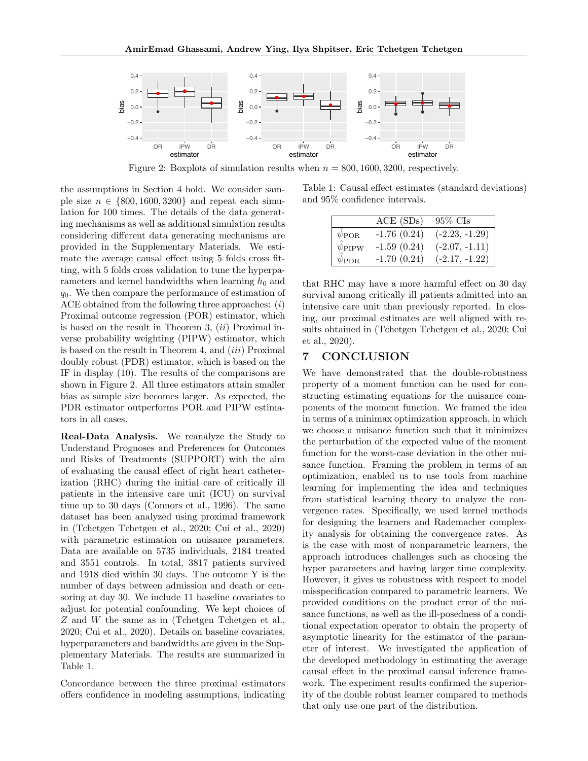

Figure 2: Boxplots of simulation results when  $n = 800, 1600, 3200$ , respectively.

the assumptions in Section 4 hold. We consider sample size  $n \in \{800, 1600, 3200\}$  and repeat each simulation for 100 times. The details of the data generating mechanisms as well as additional simulation results considering different data generating mechanisms are provided in the Supplementary Materials. We estimate the average causal effect using 5 folds cross fitting, with 5 folds cross validation to tune the hyperparameters and kernel bandwidths when learning  $h_0$  and *q*0. We then compare the performance of estimation of ACE obtained from the following three approaches: (*i*) Proximal outcome regression (POR) estimator, which is based on the result in Theorem 3, (*ii*) Proximal inverse probability weighting (PIPW) estimator, which is based on the result in Theorem 4, and (*iii*) Proximal doubly robust (PDR) estimator, which is based on the IF in display (10). The results of the comparisons are shown in Figure 2. All three estimators attain smaller bias as sample size becomes larger. As expected, the PDR estimator outperforms POR and PIPW estimators in all cases.

Real-Data Analysis. We reanalyze the Study to Understand Prognoses and Preferences for Outcomes and Risks of Treatments (SUPPORT) with the aim of evaluating the causal effect of right heart catheterization (RHC) during the initial care of critically ill patients in the intensive care unit (ICU) on survival time up to 30 days (Connors et al., 1996). The same dataset has been analyzed using proximal framework in (Tchetgen Tchetgen et al., 2020; Cui et al., 2020) with parametric estimation on nuisance parameters. Data are available on 5735 individuals, 2184 treated and 3551 controls. In total, 3817 patients survived and 1918 died within 30 days. The outcome Y is the number of days between admission and death or censoring at day 30. We include 11 baseline covariates to adjust for potential confounding. We kept choices of *Z* and *W* the same as in (Tchetgen Tchetgen et al., 2020; Cui et al., 2020). Details on baseline covariates, hyperparameters and bandwidths are given in the Supplementary Materials. The results are summarized in Table 1.

Concordance between the three proximal estimators offers confidence in modeling assumptions, indicating

Table 1: Causal effect estimates (standard deviations) and 95% confidence intervals.

|                   | $ACE$ $(SDs)$ | 95% CIs          |
|-------------------|---------------|------------------|
| $\psi_{\rm POR}$  | $-1.76(0.24)$ | $(-2.23, -1.29)$ |
| $\psi_{\rm PIPW}$ | $-1.59(0.24)$ | $(-2.07, -1.11)$ |
| $\psi_{\rm PDR}$  | $-1.70(0.24)$ | $(-2.17, -1.22)$ |

that RHC may have a more harmful effect on 30 day survival among critically ill patients admitted into an intensive care unit than previously reported. In closing, our proximal estimates are well aligned with results obtained in (Tchetgen Tchetgen et al., 2020; Cui et al., 2020).

# 7 CONCLUSION

We have demonstrated that the double-robustness property of a moment function can be used for constructing estimating equations for the nuisance components of the moment function. We framed the idea in terms of a minimax optimization approach, in which we choose a nuisance function such that it minimizes the perturbation of the expected value of the moment function for the worst-case deviation in the other nuisance function. Framing the problem in terms of an optimization, enabled us to use tools from machine learning for implementing the idea and techniques from statistical learning theory to analyze the convergence rates. Specifically, we used kernel methods for designing the learners and Rademacher complexity analysis for obtaining the convergence rates. As is the case with most of nonparametric learners, the approach introduces challenges such as choosing the hyper parameters and having larger time complexity. However, it gives us robustness with respect to model misspecification compared to parametric learners. We provided conditions on the product error of the nuisance functions, as well as the ill-posedness of a conditional expectation operator to obtain the property of asymptotic linearity for the estimator of the parameter of interest. We investigated the application of the developed methodology in estimating the average causal effect in the proximal causal inference framework. The experiment results confirmed the superiority of the double robust learner compared to methods that only use one part of the distribution.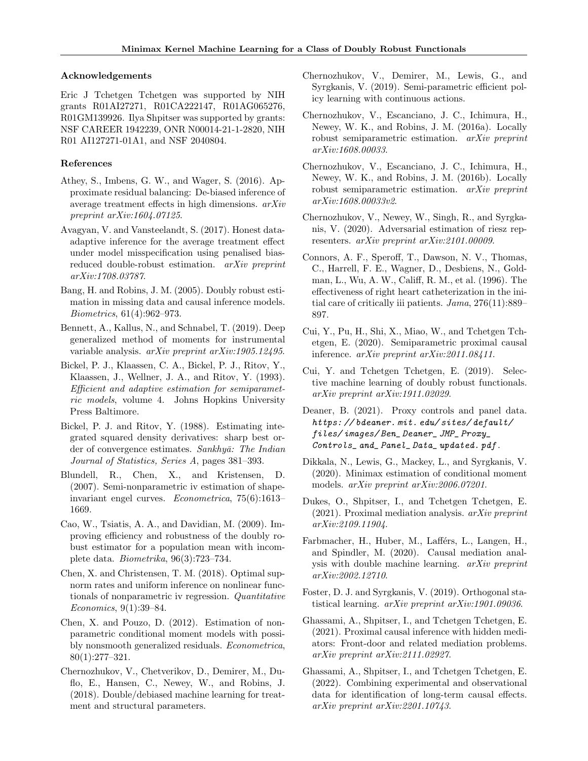#### Acknowledgements

Eric J Tchetgen Tchetgen was supported by NIH grants R01AI27271, R01CA222147, R01AG065276, R01GM139926. Ilya Shpitser was supported by grants: NSF CAREER 1942239, ONR N00014-21-1-2820, NIH R01 AI127271-01A1, and NSF 2040804.

#### References

- Athey, S., Imbens, G. W., and Wager, S. (2016). Approximate residual balancing: De-biased inference of average treatment effects in high dimensions.  $arXiv$ *preprint arXiv:1604.07125*.
- Avagyan, V. and Vansteelandt, S. (2017). Honest dataadaptive inference for the average treatment effect under model misspecification using penalised biasreduced double-robust estimation. *arXiv preprint arXiv:1708.03787*.
- Bang, H. and Robins, J. M. (2005). Doubly robust estimation in missing data and causal inference models. *Biometrics*, 61(4):962–973.
- Bennett, A., Kallus, N., and Schnabel, T. (2019). Deep generalized method of moments for instrumental variable analysis. *arXiv preprint arXiv:1905.12495*.
- Bickel, P. J., Klaassen, C. A., Bickel, P. J., Ritov, Y., Klaassen, J., Wellner, J. A., and Ritov, Y. (1993). *Ecient and adaptive estimation for semiparametric models*, volume 4. Johns Hopkins University Press Baltimore.
- Bickel, P. J. and Ritov, Y. (1988). Estimating integrated squared density derivatives: sharp best order of convergence estimates. *Sankhyā: The Indian Journal of Statistics, Series A*, pages 381–393.
- Blundell, R., Chen, X., and Kristensen, D. (2007). Semi-nonparametric iv estimation of shapeinvariant engel curves. *Econometrica*, 75(6):1613– 1669.
- Cao, W., Tsiatis, A. A., and Davidian, M. (2009). Improving efficiency and robustness of the doubly robust estimator for a population mean with incomplete data. *Biometrika*, 96(3):723–734.
- Chen, X. and Christensen, T. M. (2018). Optimal supnorm rates and uniform inference on nonlinear functionals of nonparametric iv regression. *Quantitative Economics*, 9(1):39–84.
- Chen, X. and Pouzo, D. (2012). Estimation of nonparametric conditional moment models with possibly nonsmooth generalized residuals. *Econometrica*, 80(1):277–321.
- Chernozhukov, V., Chetverikov, D., Demirer, M., Duflo, E., Hansen, C., Newey, W., and Robins, J. (2018). Double/debiased machine learning for treatment and structural parameters.
- Chernozhukov, V., Demirer, M., Lewis, G., and Syrgkanis, V. (2019). Semi-parametric efficient policy learning with continuous actions.
- Chernozhukov, V., Escanciano, J. C., Ichimura, H., Newey, W. K., and Robins, J. M. (2016a). Locally robust semiparametric estimation. *arXiv preprint arXiv:1608.00033*.
- Chernozhukov, V., Escanciano, J. C., Ichimura, H., Newey, W. K., and Robins, J. M. (2016b). Locally robust semiparametric estimation. *arXiv preprint arXiv:1608.00033v2*.
- Chernozhukov, V., Newey, W., Singh, R., and Syrgkanis, V. (2020). Adversarial estimation of riesz representers. *arXiv preprint arXiv:2101.00009*.
- Connors, A. F., Speroff, T., Dawson, N. V., Thomas, C., Harrell, F. E., Wagner, D., Desbiens, N., Goldman, L., Wu, A. W., Califf, R. M., et al. (1996). The effectiveness of right heart catheterization in the initial care of critically iii patients. *Jama*, 276(11):889– 897.
- Cui, Y., Pu, H., Shi, X., Miao, W., and Tchetgen Tchetgen, E. (2020). Semiparametric proximal causal inference. *arXiv preprint arXiv:2011.08411*.
- Cui, Y. and Tchetgen Tchetgen, E. (2019). Selective machine learning of doubly robust functionals. *arXiv preprint arXiv:1911.02029*.
- Deaner, B. (2021). Proxy controls and panel data. *https: // bdeaner. mit. edu/ sites/ default/ files/ images/ Ben\_ Deaner\_ JMP\_ Proxy\_ Controls\_ and\_ Panel\_ Data\_ updated. pdf* .
- Dikkala, N., Lewis, G., Mackey, L., and Syrgkanis, V. (2020). Minimax estimation of conditional moment models. *arXiv preprint arXiv:2006.07201*.
- Dukes, O., Shpitser, I., and Tchetgen Tchetgen, E. (2021). Proximal mediation analysis. *arXiv preprint arXiv:2109.11904*.
- Farbmacher, H., Huber, M., Lafférs, L., Langen, H., and Spindler, M. (2020). Causal mediation analysis with double machine learning. *arXiv preprint arXiv:2002.12710*.
- Foster, D. J. and Syrgkanis, V. (2019). Orthogonal statistical learning. *arXiv preprint arXiv:1901.09036*.
- Ghassami, A., Shpitser, I., and Tchetgen Tchetgen, E. (2021). Proximal causal inference with hidden mediators: Front-door and related mediation problems. *arXiv preprint arXiv:2111.02927*.
- Ghassami, A., Shpitser, I., and Tchetgen Tchetgen, E. (2022). Combining experimental and observational data for identification of long-term causal effects. *arXiv preprint arXiv:2201.10743*.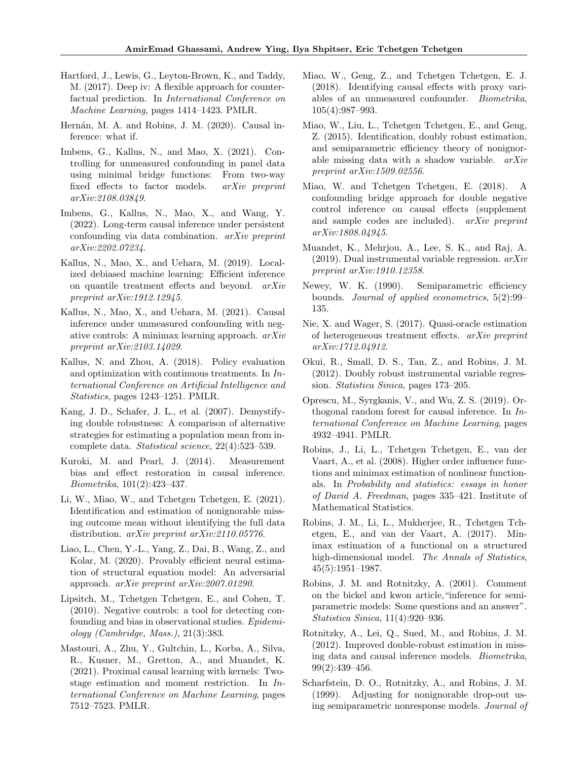- Hartford, J., Lewis, G., Leyton-Brown, K., and Taddy, M. (2017). Deep iv: A flexible approach for counterfactual prediction. In *International Conference on Machine Learning*, pages 1414–1423. PMLR.
- Hernán, M. A. and Robins, J. M. (2020). Causal inference: what if.
- Imbens, G., Kallus, N., and Mao, X. (2021). Controlling for unmeasured confounding in panel data using minimal bridge functions: From two-way fixed effects to factor models. *arXiv preprint arXiv:2108.03849*.
- Imbens, G., Kallus, N., Mao, X., and Wang, Y. (2022). Long-term causal inference under persistent confounding via data combination. *arXiv preprint arXiv:2202.07234*.
- Kallus, N., Mao, X., and Uehara, M. (2019). Localized debiased machine learning: Efficient inference on quantile treatment effects and beyond. *arXiv preprint arXiv:1912.12945*.
- Kallus, N., Mao, X., and Uehara, M. (2021). Causal inference under unmeasured confounding with negative controls: A minimax learning approach. *arXiv preprint arXiv:2103.14029*.
- Kallus, N. and Zhou, A. (2018). Policy evaluation and optimization with continuous treatments. In *International Conference on Artificial Intelligence and Statistics*, pages 1243–1251. PMLR.
- Kang, J. D., Schafer, J. L., et al. (2007). Demystifying double robustness: A comparison of alternative strategies for estimating a population mean from incomplete data. *Statistical science*, 22(4):523–539.
- Kuroki, M. and Pearl, J. (2014). Measurement bias and effect restoration in causal inference. *Biometrika*, 101(2):423–437.
- Li, W., Miao, W., and Tchetgen Tchetgen, E. (2021). Identification and estimation of nonignorable missing outcome mean without identifying the full data distribution. *arXiv preprint arXiv:2110.05776*.
- Liao, L., Chen, Y.-L., Yang, Z., Dai, B., Wang, Z., and Kolar, M. (2020). Provably efficient neural estimation of structural equation model: An adversarial approach. *arXiv preprint arXiv:2007.01290*.
- Lipsitch, M., Tchetgen Tchetgen, E., and Cohen, T. (2010). Negative controls: a tool for detecting confounding and bias in observational studies. *Epidemiology (Cambridge, Mass.)*, 21(3):383.
- Mastouri, A., Zhu, Y., Gultchin, L., Korba, A., Silva, R., Kusner, M., Gretton, A., and Muandet, K. (2021). Proximal causal learning with kernels: Twostage estimation and moment restriction. In *International Conference on Machine Learning*, pages 7512–7523. PMLR.
- Miao, W., Geng, Z., and Tchetgen Tchetgen, E. J.  $(2018)$ . Identifying causal effects with proxy variables of an unmeasured confounder. *Biometrika*, 105(4):987–993.
- Miao, W., Liu, L., Tchetgen Tchetgen, E., and Geng, Z. (2015). Identification, doubly robust estimation, and semiparametric efficiency theory of nonignorable missing data with a shadow variable. *arXiv preprint arXiv:1509.02556*.
- Miao, W. and Tchetgen Tchetgen, E. (2018). A confounding bridge approach for double negative control inference on causal effects (supplement and sample codes are included). *arXiv preprint arXiv:1808.04945*.
- Muandet, K., Mehrjou, A., Lee, S. K., and Raj, A. (2019). Dual instrumental variable regression. *arXiv preprint arXiv:1910.12358*.
- Newey, W. K. (1990). Semiparametric efficiency bounds. *Journal of applied econometrics*, 5(2):99– 135.
- Nie, X. and Wager, S. (2017). Quasi-oracle estimation of heterogeneous treatment e↵ects. *arXiv preprint arXiv:1712.04912*.
- Okui, R., Small, D. S., Tan, Z., and Robins, J. M. (2012). Doubly robust instrumental variable regression. *Statistica Sinica*, pages 173–205.
- Oprescu, M., Syrgkanis, V., and Wu, Z. S. (2019). Orthogonal random forest for causal inference. In *International Conference on Machine Learning*, pages 4932–4941. PMLR.
- Robins, J., Li, L., Tchetgen Tchetgen, E., van der Vaart, A., et al. (2008). Higher order influence functions and minimax estimation of nonlinear functionals. In *Probability and statistics: essays in honor of David A. Freedman*, pages 335–421. Institute of Mathematical Statistics.
- Robins, J. M., Li, L., Mukherjee, R., Tchetgen Tchetgen, E., and van der Vaart, A. (2017). Minimax estimation of a functional on a structured high-dimensional model. *The Annals of Statistics*, 45(5):1951–1987.
- Robins, J. M. and Rotnitzky, A. (2001). Comment on the bickel and kwon article,"inference for semiparametric models: Some questions and an answer". *Statistica Sinica*, 11(4):920–936.
- Rotnitzky, A., Lei, Q., Sued, M., and Robins, J. M. (2012). Improved double-robust estimation in missing data and causal inference models. *Biometrika*, 99(2):439–456.
- Scharfstein, D. O., Rotnitzky, A., and Robins, J. M. (1999). Adjusting for nonignorable drop-out using semiparametric nonresponse models. *Journal of*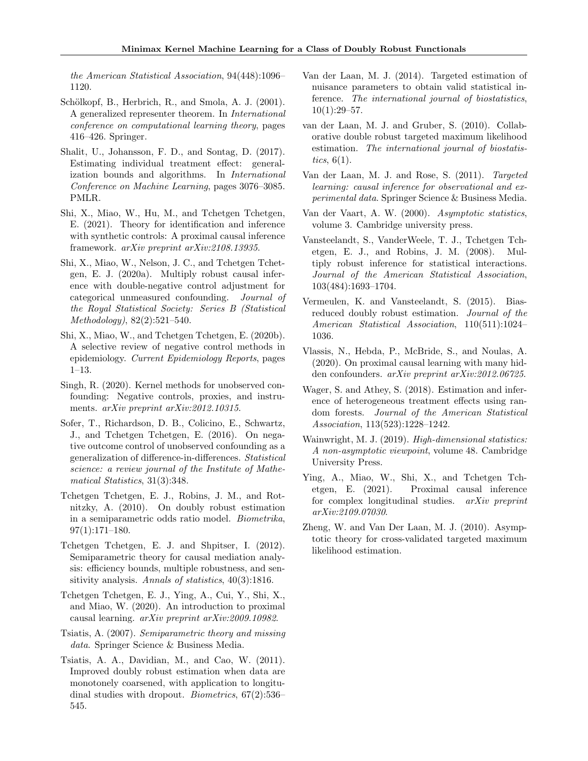*the American Statistical Association*, 94(448):1096– 1120.

- Schölkopf, B., Herbrich, R., and Smola, A. J. (2001). A generalized representer theorem. In *International conference on computational learning theory*, pages 416–426. Springer.
- Shalit, U., Johansson, F. D., and Sontag, D. (2017). Estimating individual treatment effect: generalization bounds and algorithms. In *International Conference on Machine Learning*, pages 3076–3085. PMLR.
- Shi, X., Miao, W., Hu, M., and Tchetgen Tchetgen, E. (2021). Theory for identification and inference with synthetic controls: A proximal causal inference framework. *arXiv preprint arXiv:2108.13935*.
- Shi, X., Miao, W., Nelson, J. C., and Tchetgen Tchetgen, E. J. (2020a). Multiply robust causal inference with double-negative control adjustment for categorical unmeasured confounding. *Journal of the Royal Statistical Society: Series B (Statistical Methodology)*, 82(2):521–540.
- Shi, X., Miao, W., and Tchetgen Tchetgen, E. (2020b). A selective review of negative control methods in epidemiology. *Current Epidemiology Reports*, pages 1–13.
- Singh, R. (2020). Kernel methods for unobserved confounding: Negative controls, proxies, and instruments. *arXiv preprint arXiv:2012.10315*.
- Sofer, T., Richardson, D. B., Colicino, E., Schwartz, J., and Tchetgen Tchetgen, E. (2016). On negative outcome control of unobserved confounding as a generalization of difference-in-differences. *Statistical science: a review journal of the Institute of Mathematical Statistics*, 31(3):348.
- Tchetgen Tchetgen, E. J., Robins, J. M., and Rotnitzky, A. (2010). On doubly robust estimation in a semiparametric odds ratio model. *Biometrika*, 97(1):171–180.
- Tchetgen Tchetgen, E. J. and Shpitser, I. (2012). Semiparametric theory for causal mediation analysis: efficiency bounds, multiple robustness, and sensitivity analysis. *Annals of statistics*, 40(3):1816.
- Tchetgen Tchetgen, E. J., Ying, A., Cui, Y., Shi, X., and Miao, W. (2020). An introduction to proximal causal learning. *arXiv preprint arXiv:2009.10982*.
- Tsiatis, A. (2007). *Semiparametric theory and missing data*. Springer Science & Business Media.
- Tsiatis, A. A., Davidian, M., and Cao, W. (2011). Improved doubly robust estimation when data are monotonely coarsened, with application to longitudinal studies with dropout. *Biometrics*, 67(2):536– 545.
- Van der Laan, M. J. (2014). Targeted estimation of nuisance parameters to obtain valid statistical inference. *The international journal of biostatistics*,  $10(1):29-57.$
- van der Laan, M. J. and Gruber, S. (2010). Collaborative double robust targeted maximum likelihood estimation. *The international journal of biostatistics*, 6(1).
- Van der Laan, M. J. and Rose, S. (2011). *Targeted learning: causal inference for observational and experimental data*. Springer Science & Business Media.
- Van der Vaart, A. W. (2000). *Asymptotic statistics*, volume 3. Cambridge university press.
- Vansteelandt, S., VanderWeele, T. J., Tchetgen Tchetgen, E. J., and Robins, J. M. (2008). Multiply robust inference for statistical interactions. *Journal of the American Statistical Association*, 103(484):1693–1704.
- Vermeulen, K. and Vansteelandt, S. (2015). Biasreduced doubly robust estimation. *Journal of the American Statistical Association*, 110(511):1024– 1036.
- Vlassis, N., Hebda, P., McBride, S., and Noulas, A. (2020). On proximal causal learning with many hidden confounders. *arXiv preprint arXiv:2012.06725*.
- Wager, S. and Athey, S. (2018). Estimation and inference of heterogeneous treatment effects using random forests. *Journal of the American Statistical Association*, 113(523):1228–1242.
- Wainwright, M. J. (2019). *High-dimensional statistics: A non-asymptotic viewpoint*, volume 48. Cambridge University Press.
- Ying, A., Miao, W., Shi, X., and Tchetgen Tchetgen, E. (2021). Proximal causal inference for complex longitudinal studies. *arXiv preprint arXiv:2109.07030*.
- Zheng, W. and Van Der Laan, M. J. (2010). Asymptotic theory for cross-validated targeted maximum likelihood estimation.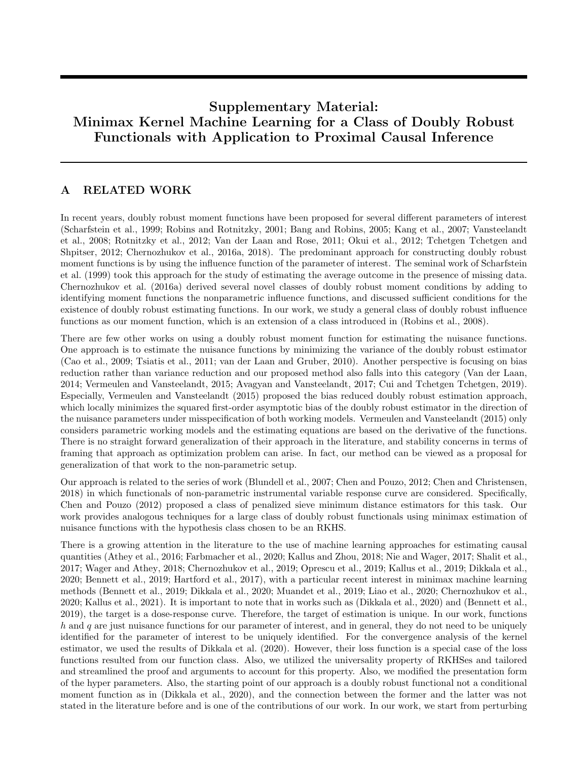# Supplementary Material: Minimax Kernel Machine Learning for a Class of Doubly Robust Functionals with Application to Proximal Causal Inference

# A RELATED WORK

In recent years, doubly robust moment functions have been proposed for several different parameters of interest (Scharfstein et al., 1999; Robins and Rotnitzky, 2001; Bang and Robins, 2005; Kang et al., 2007; Vansteelandt et al., 2008; Rotnitzky et al., 2012; Van der Laan and Rose, 2011; Okui et al., 2012; Tchetgen Tchetgen and Shpitser, 2012; Chernozhukov et al., 2016a, 2018). The predominant approach for constructing doubly robust moment functions is by using the influence function of the parameter of interest. The seminal work of Scharfstein et al. (1999) took this approach for the study of estimating the average outcome in the presence of missing data. Chernozhukov et al. (2016a) derived several novel classes of doubly robust moment conditions by adding to identifying moment functions the nonparametric influence functions, and discussed sufficient conditions for the existence of doubly robust estimating functions. In our work, we study a general class of doubly robust influence functions as our moment function, which is an extension of a class introduced in (Robins et al., 2008).

There are few other works on using a doubly robust moment function for estimating the nuisance functions. One approach is to estimate the nuisance functions by minimizing the variance of the doubly robust estimator (Cao et al., 2009; Tsiatis et al., 2011; van der Laan and Gruber, 2010). Another perspective is focusing on bias reduction rather than variance reduction and our proposed method also falls into this category (Van der Laan, 2014; Vermeulen and Vansteelandt, 2015; Avagyan and Vansteelandt, 2017; Cui and Tchetgen Tchetgen, 2019). Especially, Vermeulen and Vansteelandt (2015) proposed the bias reduced doubly robust estimation approach, which locally minimizes the squared first-order asymptotic bias of the doubly robust estimator in the direction of the nuisance parameters under misspecification of both working models. Vermeulen and Vansteelandt (2015) only considers parametric working models and the estimating equations are based on the derivative of the functions. There is no straight forward generalization of their approach in the literature, and stability concerns in terms of framing that approach as optimization problem can arise. In fact, our method can be viewed as a proposal for generalization of that work to the non-parametric setup.

Our approach is related to the series of work (Blundell et al., 2007; Chen and Pouzo, 2012; Chen and Christensen, 2018) in which functionals of non-parametric instrumental variable response curve are considered. Specifically, Chen and Pouzo (2012) proposed a class of penalized sieve minimum distance estimators for this task. Our work provides analogous techniques for a large class of doubly robust functionals using minimax estimation of nuisance functions with the hypothesis class chosen to be an RKHS.

There is a growing attention in the literature to the use of machine learning approaches for estimating causal quantities (Athey et al., 2016; Farbmacher et al., 2020; Kallus and Zhou, 2018; Nie and Wager, 2017; Shalit et al., 2017; Wager and Athey, 2018; Chernozhukov et al., 2019; Oprescu et al., 2019; Kallus et al., 2019; Dikkala et al., 2020; Bennett et al., 2019; Hartford et al., 2017), with a particular recent interest in minimax machine learning methods (Bennett et al., 2019; Dikkala et al., 2020; Muandet et al., 2019; Liao et al., 2020; Chernozhukov et al., 2020; Kallus et al., 2021). It is important to note that in works such as (Dikkala et al., 2020) and (Bennett et al., 2019), the target is a dose-response curve. Therefore, the target of estimation is unique. In our work, functions *h* and *q* are just nuisance functions for our parameter of interest, and in general, they do not need to be uniquely identified for the parameter of interest to be uniquely identified. For the convergence analysis of the kernel estimator, we used the results of Dikkala et al. (2020). However, their loss function is a special case of the loss functions resulted from our function class. Also, we utilized the universality property of RKHSes and tailored and streamlined the proof and arguments to account for this property. Also, we modified the presentation form of the hyper parameters. Also, the starting point of our approach is a doubly robust functional not a conditional moment function as in (Dikkala et al., 2020), and the connection between the former and the latter was not stated in the literature before and is one of the contributions of our work. In our work, we start from perturbing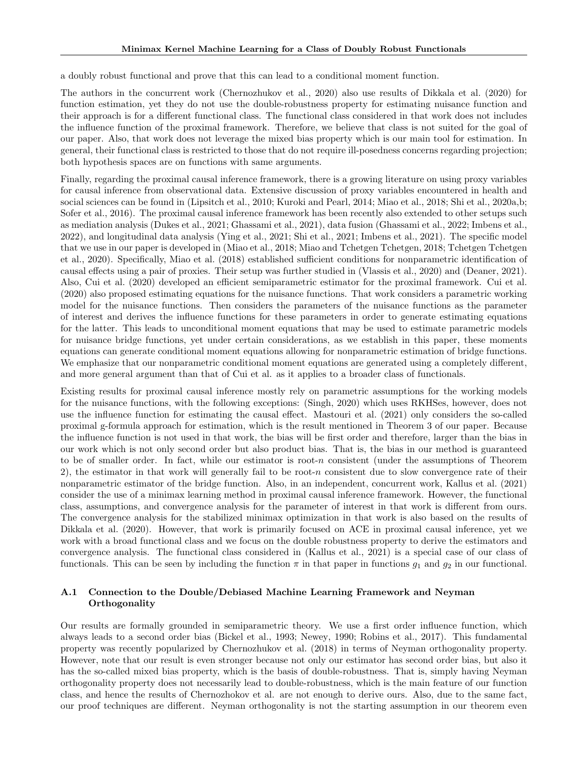a doubly robust functional and prove that this can lead to a conditional moment function.

The authors in the concurrent work (Chernozhukov et al., 2020) also use results of Dikkala et al. (2020) for function estimation, yet they do not use the double-robustness property for estimating nuisance function and their approach is for a different functional class. The functional class considered in that work does not includes the influence function of the proximal framework. Therefore, we believe that class is not suited for the goal of our paper. Also, that work does not leverage the mixed bias property which is our main tool for estimation. In general, their functional class is restricted to those that do not require ill-posedness concerns regarding projection; both hypothesis spaces are on functions with same arguments.

Finally, regarding the proximal causal inference framework, there is a growing literature on using proxy variables for causal inference from observational data. Extensive discussion of proxy variables encountered in health and social sciences can be found in (Lipsitch et al., 2010; Kuroki and Pearl, 2014; Miao et al., 2018; Shi et al., 2020a,b; Sofer et al., 2016). The proximal causal inference framework has been recently also extended to other setups such as mediation analysis (Dukes et al., 2021; Ghassami et al., 2021), data fusion (Ghassami et al., 2022; Imbens et al., 2022), and longitudinal data analysis (Ying et al., 2021; Shi et al., 2021; Imbens et al., 2021). The specific model that we use in our paper is developed in (Miao et al., 2018; Miao and Tchetgen Tchetgen, 2018; Tchetgen Tchetgen et al., 2020). Specifically, Miao et al. (2018) established sufficient conditions for nonparametric identification of causal effects using a pair of proxies. Their setup was further studied in (Vlassis et al., 2020) and (Deaner, 2021). Also, Cui et al. (2020) developed an efficient semiparametric estimator for the proximal framework. Cui et al. (2020) also proposed estimating equations for the nuisance functions. That work considers a parametric working model for the nuisance functions. Then considers the parameters of the nuisance functions as the parameter of interest and derives the influence functions for these parameters in order to generate estimating equations for the latter. This leads to unconditional moment equations that may be used to estimate parametric models for nuisance bridge functions, yet under certain considerations, as we establish in this paper, these moments equations can generate conditional moment equations allowing for nonparametric estimation of bridge functions. We emphasize that our nonparametric conditional moment equations are generated using a completely different, and more general argument than that of Cui et al. as it applies to a broader class of functionals.

Existing results for proximal causal inference mostly rely on parametric assumptions for the working models for the nuisance functions, with the following exceptions: (Singh, 2020) which uses RKHSes, however, does not use the influence function for estimating the causal effect. Mastouri et al. (2021) only considers the so-called proximal g-formula approach for estimation, which is the result mentioned in Theorem 3 of our paper. Because the influence function is not used in that work, the bias will be first order and therefore, larger than the bias in our work which is not only second order but also product bias. That is, the bias in our method is guaranteed to be of smaller order. In fact, while our estimator is root-*n* consistent (under the assumptions of Theorem 2), the estimator in that work will generally fail to be root-*n* consistent due to slow convergence rate of their nonparametric estimator of the bridge function. Also, in an independent, concurrent work, Kallus et al. (2021) consider the use of a minimax learning method in proximal causal inference framework. However, the functional class, assumptions, and convergence analysis for the parameter of interest in that work is different from ours. The convergence analysis for the stabilized minimax optimization in that work is also based on the results of Dikkala et al. (2020). However, that work is primarily focused on ACE in proximal causal inference, yet we work with a broad functional class and we focus on the double robustness property to derive the estimators and convergence analysis. The functional class considered in (Kallus et al., 2021) is a special case of our class of functionals. This can be seen by including the function  $\pi$  in that paper in functions  $g_1$  and  $g_2$  in our functional.

### A.1 Connection to the Double/Debiased Machine Learning Framework and Neyman **Orthogonality**

Our results are formally grounded in semiparametric theory. We use a first order influence function, which always leads to a second order bias (Bickel et al., 1993; Newey, 1990; Robins et al., 2017). This fundamental property was recently popularized by Chernozhukov et al. (2018) in terms of Neyman orthogonality property. However, note that our result is even stronger because not only our estimator has second order bias, but also it has the so-called mixed bias property, which is the basis of double-robustness. That is, simply having Neyman orthogonality property does not necessarily lead to double-robustness, which is the main feature of our function class, and hence the results of Chernozhokov et al. are not enough to derive ours. Also, due to the same fact, our proof techniques are different. Neyman orthogonality is not the starting assumption in our theorem even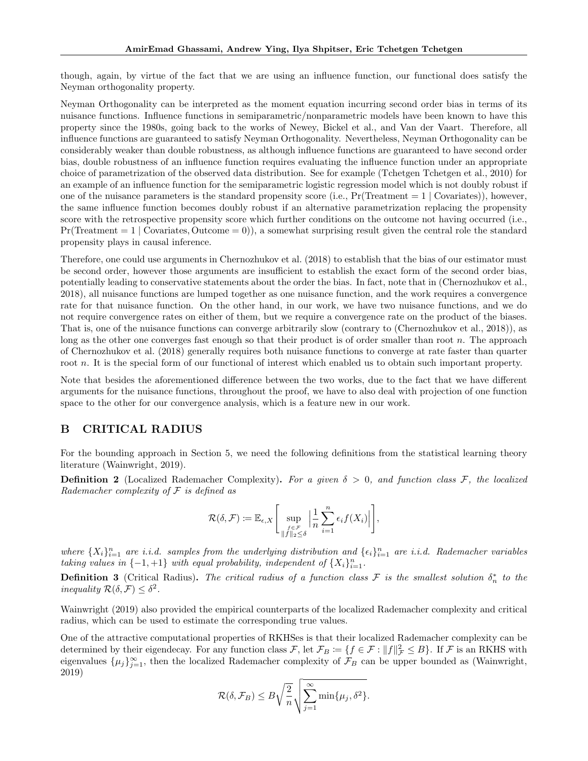though, again, by virtue of the fact that we are using an influence function, our functional does satisfy the Neyman orthogonality property.

Neyman Orthogonality can be interpreted as the moment equation incurring second order bias in terms of its nuisance functions. Influence functions in semiparametric/nonparametric models have been known to have this property since the 1980s, going back to the works of Newey, Bickel et al., and Van der Vaart. Therefore, all influence functions are guaranteed to satisfy Neyman Orthogonality. Nevertheless, Neyman Orthogonality can be considerably weaker than double robustness, as although influence functions are guaranteed to have second order bias, double robustness of an influence function requires evaluating the influence function under an appropriate choice of parametrization of the observed data distribution. See for example (Tchetgen Tchetgen et al., 2010) for an example of an influence function for the semiparametric logistic regression model which is not doubly robust if one of the nuisance parameters is the standard propensity score (i.e., Pr(Treatment = 1 *|* Covariates)), however, the same influence function becomes doubly robust if an alternative parametrization replacing the propensity score with the retrospective propensity score which further conditions on the outcome not having occurred (i.e.,  $Pr(\text{Treatment} = 1 \mid \text{Covariates}, \text{Outcome} = 0)$ , a somewhat surprising result given the central role the standard propensity plays in causal inference.

Therefore, one could use arguments in Chernozhukov et al. (2018) to establish that the bias of our estimator must be second order, however those arguments are insufficient to establish the exact form of the second order bias, potentially leading to conservative statements about the order the bias. In fact, note that in (Chernozhukov et al., 2018), all nuisance functions are lumped together as one nuisance function, and the work requires a convergence rate for that nuisance function. On the other hand, in our work, we have two nuisance functions, and we do not require convergence rates on either of them, but we require a convergence rate on the product of the biases. That is, one of the nuisance functions can converge arbitrarily slow (contrary to (Chernozhukov et al., 2018)), as long as the other one converges fast enough so that their product is of order smaller than root *n*. The approach of Chernozhukov et al. (2018) generally requires both nuisance functions to converge at rate faster than quarter root *n*. It is the special form of our functional of interest which enabled us to obtain such important property.

Note that besides the aforementioned difference between the two works, due to the fact that we have different arguments for the nuisance functions, throughout the proof, we have to also deal with projection of one function space to the other for our convergence analysis, which is a feature new in our work.

# B CRITICAL RADIUS

For the bounding approach in Section 5, we need the following definitions from the statistical learning theory literature (Wainwright, 2019).

**Definition 2** (Localized Rademacher Complexity). For a given  $\delta > 0$ , and function class F, the localized *Rademacher complexity of F is defined as*

$$
\mathcal{R}(\delta,\mathcal{F}) \coloneqq \mathbb{E}_{\epsilon,X}\Bigg[\sup_{\substack{f \in \mathcal{F} \\ \|f\|_2 \leq \delta}} \Big|\frac{1}{n}\sum_{i=1}^n \epsilon_i f(X_i)\Big|\Bigg],
$$

*where*  $\{X_i\}_{i=1}^n$  *are i.i.d.* samples from the underlying distribution and  $\{\epsilon_i\}_{i=1}^n$  *are i.i.d.* Rademacher variables *taking values in*  $\{-1, +1\}$  *with equal probability, independent of*  $\{X_i\}_{i=1}^n$ *.* 

**Definition 3** (Critical Radius). The critical radius of a function class  $\mathcal F$  is the smallest solution  $\delta_n^*$  to the *inequality*  $\mathcal{R}(\delta, \mathcal{F}) \leq \delta^2$ .

Wainwright (2019) also provided the empirical counterparts of the localized Rademacher complexity and critical radius, which can be used to estimate the corresponding true values.

One of the attractive computational properties of RKHSes is that their localized Rademacher complexity can be determined by their eigendecay. For any function class  $\mathcal{F}$ , let  $\mathcal{F}_B := \{ f \in \mathcal{F} : ||f||^2_{\mathcal{F}} \leq B \}$ . If  $\mathcal{F}$  is an RKHS with eigenvalues  $\{\mu_j\}_{j=1}^{\infty}$ , then the localized Rademacher complexity of  $\mathcal{F}_B$  can be upper bounded as (Wainwright, 2019)

$$
\mathcal{R}(\delta, \mathcal{F}_B) \le B \sqrt{\frac{2}{n}} \sqrt{\sum_{j=1}^{\infty} \min\{\mu_j, \delta^2\}}.
$$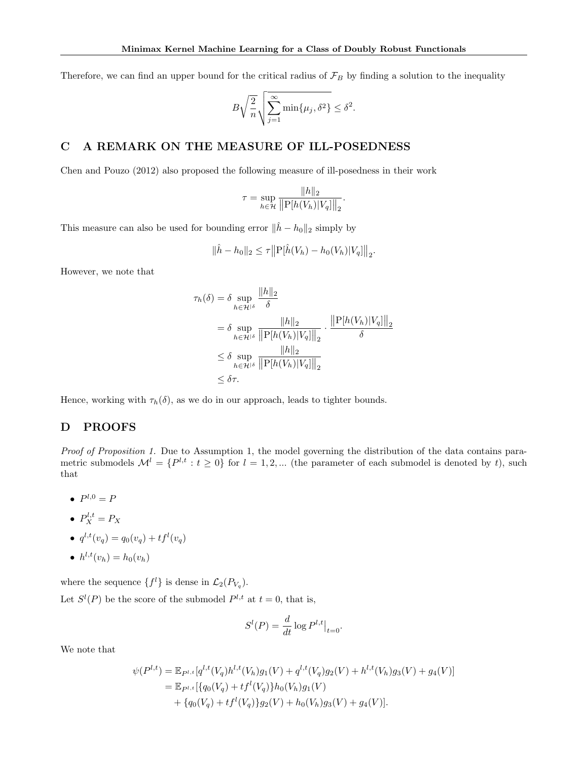Therefore, we can find an upper bound for the critical radius of  $\mathcal{F}_B$  by finding a solution to the inequality

$$
B\sqrt{\frac{2}{n}}\sqrt{\sum_{j=1}^{\infty}\min\{\mu_j,\delta^2\}} \leq \delta^2.
$$

### C A REMARK ON THE MEASURE OF ILL-POSEDNESS

Chen and Pouzo (2012) also proposed the following measure of ill-posedness in their work

$$
\tau = \sup_{h \in \mathcal{H}} \frac{\|h\|_2}{\|P[h(V_h)|V_q]\|_2}.
$$

This measure can also be used for bounding error  $\|\hat{h} - h_0\|_2$  simply by

$$
\|\hat{h} - h_0\|_2 \le \tau \big\|P[\hat{h}(V_h) - h_0(V_h)|V_q]\big\|_2.
$$

However, we note that

$$
\tau_h(\delta) = \delta \sup_{h \in \mathcal{H}^{|\delta}} \frac{\|h\|_2}{\delta}
$$
  
\n
$$
= \delta \sup_{h \in \mathcal{H}^{|\delta}} \frac{\|h\|_2}{\|P[h(V_h)|V_q]\|_2} \cdot \frac{\|P[h(V_h)|V_q]\|_2}{\delta}
$$
  
\n
$$
\leq \delta \sup_{h \in \mathcal{H}^{|\delta}} \frac{\|h\|_2}{\|P[h(V_h)|V_q]\|_2}
$$
  
\n
$$
\leq \delta \tau.
$$

Hence, working with  $\tau_h(\delta)$ , as we do in our approach, leads to tighter bounds.

# D PROOFS

*Proof of Proposition 1.* Due to Assumption 1, the model governing the distribution of the data contains parametric submodels  $\mathcal{M}^l = \{P^{l,t} : t \geq 0\}$  for  $l = 1, 2, ...$  (the parameter of each submodel is denoted by *t*), such that

- $P^{l,0} = P$
- $P_X^{l,t} = P_X$
- $q^{l,t}(v_q) = q_0(v_q) + tf^l(v_q)$
- $h^{l,t}(v_h) = h_0(v_h)$

where the sequence  $\{f^l\}$  is dense in  $\mathcal{L}_2(P_{V_q})$ .

Let  $S^l(P)$  be the score of the submodel  $P^{l,t}$  at  $t=0$ , that is,

$$
S^{l}(P) = \frac{d}{dt} \log P^{l,t}|_{t=0}.
$$

We note that

$$
\psi(P^{l,t}) = \mathbb{E}_{P^{l,t}}[q^{l,t}(V_q)h^{l,t}(V_h)g_1(V) + q^{l,t}(V_q)g_2(V) + h^{l,t}(V_h)g_3(V) + g_4(V)]
$$
  
=  $\mathbb{E}_{P^{l,t}}[\{q_0(V_q) + tf^l(V_q)\}h_0(V_h)g_1(V) + \{q_0(V_q) + tf^l(V_q)\}g_2(V) + h_0(V_h)g_3(V) + g_4(V)].$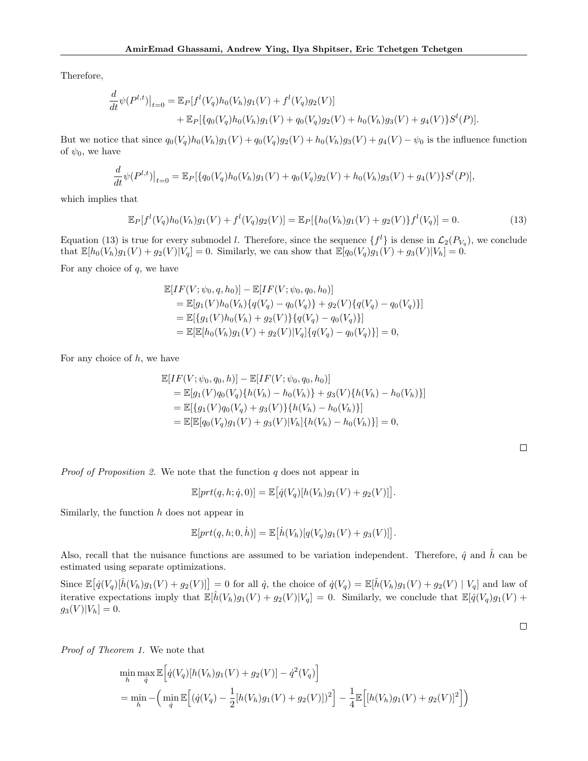Therefore,

$$
\frac{d}{dt}\psi(P^{l,t})|_{t=0} = \mathbb{E}_P[f^l(V_q)h_0(V_h)g_1(V) + f^l(V_q)g_2(V)] \n+ \mathbb{E}_P[\{q_0(V_q)h_0(V_h)g_1(V) + q_0(V_q)g_2(V) + h_0(V_h)g_3(V) + g_4(V)\}S^l(P)].
$$

But we notice that since  $q_0(V_q)h_0(V_h)g_1(V) + q_0(V_q)g_2(V) + h_0(V_h)g_3(V) + g_4(V) - \psi_0$  is the influence function of  $\psi_0$ , we have

$$
\frac{d}{dt}\psi(P^{l,t})|_{t=0} = \mathbb{E}_P[\{q_0(V_q)h_0(V_h)g_1(V) + q_0(V_q)g_2(V) + h_0(V_h)g_3(V) + g_4(V)\}S^l(P)],
$$

which implies that

$$
\mathbb{E}_P[f^l(V_q)h_0(V_h)g_1(V) + f^l(V_q)g_2(V)] = \mathbb{E}_P[\{h_0(V_h)g_1(V) + g_2(V)\}f^l(V_q)] = 0.
$$
\n(13)

Equation (13) is true for every submodel *l*. Therefore, since the sequence  $\{f^l\}$  is dense in  $\mathcal{L}_2(P_{V_q})$ , we conclude that  $\mathbb{E}[h_0(V_h)g_1(V) + g_2(V)|V_q] = 0$ . Similarly, we can show that  $\mathbb{E}[q_0(V_q)g_1(V) + g_3(V)|V_h] = 0$ .

For any choice of *q*, we have

$$
\mathbb{E}[IF(V; \psi_0, q, h_0)] - \mathbb{E}[IF(V; \psi_0, q_0, h_0)]
$$
  
= 
$$
\mathbb{E}[g_1(V)h_0(V_h)\{q(V_q) - q_0(V_q)\} + g_2(V)\{q(V_q) - q_0(V_q)\}]
$$
  
= 
$$
\mathbb{E}[\{g_1(V)h_0(V_h) + g_2(V)\}\{q(V_q) - q_0(V_q)\}]
$$
  
= 
$$
\mathbb{E}[\mathbb{E}[h_0(V_h)g_1(V) + g_2(V)|V_q]\{q(V_q) - q_0(V_q)\}] = 0,
$$

For any choice of *h*, we have

$$
\mathbb{E}[IF(V; \psi_0, q_0, h)] - \mathbb{E}[IF(V; \psi_0, q_0, h_0)]
$$
\n
$$
= \mathbb{E}[g_1(V)q_0(V_q)\{h(V_h) - h_0(V_h)\} + g_3(V)\{h(V_h) - h_0(V_h)\}]
$$
\n
$$
= \mathbb{E}[\{g_1(V)q_0(V_q) + g_3(V)\}\{h(V_h) - h_0(V_h)\}]
$$
\n
$$
= \mathbb{E}[\mathbb{E}[q_0(V_q)g_1(V) + g_3(V)|V_h]\{h(V_h) - h_0(V_h)\}] = 0,
$$

 $\Box$ 

*Proof of Proposition 2.* We note that the function *q* does not appear in

$$
\mathbb{E}[prt(q, h; \dot{q}, 0)] = \mathbb{E}\big[\dot{q}(V_q)[h(V_h)g_1(V) + g_2(V)]\big].
$$

Similarly, the function *h* does not appear in

$$
\mathbb{E}[prt(q, h; 0, \dot{h})] = \mathbb{E}\big[\dot{h}(V_h)[q(V_q)g_1(V) + g_3(V)]\big].
$$

Also, recall that the nuisance functions are assumed to be variation independent. Therefore,  $\hat{q}$  and  $\hat{h}$  can be estimated using separate optimizations.

Since  $\mathbb{E}\big[\dot{q}(V_q)[\hat{h}(V_h)g_1(V) + g_2(V)]\big] = 0$  for all  $\dot{q}$ , the choice of  $\dot{q}(V_q) = \mathbb{E}[\hat{h}(V_h)g_1(V) + g_2(V) | V_q]$  and law of iterative expectations imply that  $\mathbb{E}[\hat{h}(V_h)g_1(V) + g_2(V)|V_q] = 0$ . Similarly, we conclude that  $\mathbb{E}[\hat{q}(V_q)g_1(V) +$  $g_3(V)|V_h| = 0.$ 

*Proof of Theorem 1.* We note that

$$
\min_{h} \max_{\dot{q}} \mathbb{E}\Big[\dot{q}(V_q)[h(V_h)g_1(V) + g_2(V)] - \dot{q}^2(V_q)\Big]
$$
\n
$$
= \min_{h} - \Big(\min_{\dot{q}} \mathbb{E}\Big[(\dot{q}(V_q) - \frac{1}{2}[h(V_h)g_1(V) + g_2(V)])^2\Big] - \frac{1}{4}\mathbb{E}\Big[[h(V_h)g_1(V) + g_2(V)]^2\Big]\Big)
$$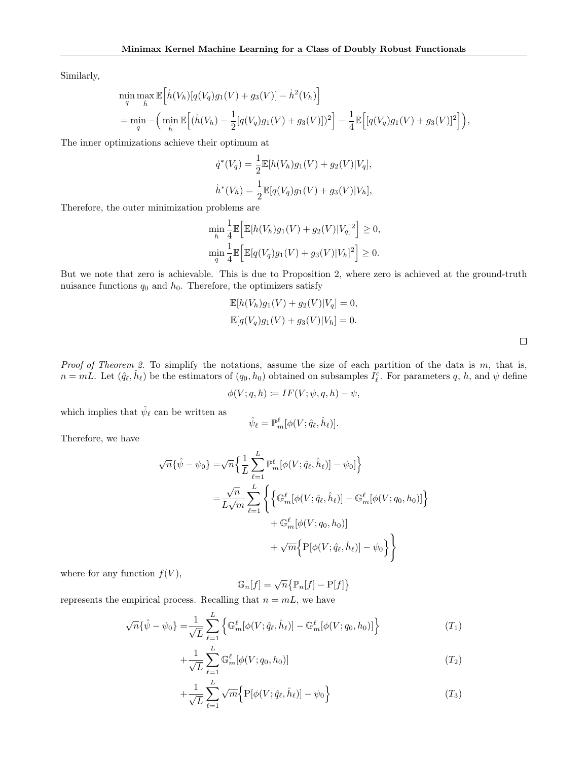Similarly,

$$
\min_{q} \max_{\hat{h}} \mathbb{E}\Big[\dot{h}(V_h)[q(V_q)g_1(V) + g_3(V)] - \dot{h}^2(V_h)\Big] \n= \min_{q} -\Big(\min_{\hat{h}} \mathbb{E}\Big[(\dot{h}(V_h) - \frac{1}{2}[q(V_q)g_1(V) + g_3(V)])^2\Big] - \frac{1}{4}\mathbb{E}\Big[ [q(V_q)g_1(V) + g_3(V)]^2\Big] \Big),
$$

The inner optimizations achieve their optimum at

$$
\dot{q}^*(V_q) = \frac{1}{2} \mathbb{E}[h(V_h)g_1(V) + g_2(V)|V_q],
$$
  

$$
\dot{h}^*(V_h) = \frac{1}{2} \mathbb{E}[q(V_q)g_1(V) + g_3(V)|V_h],
$$

Therefore, the outer minimization problems are

$$
\min_{h} \frac{1}{4} \mathbb{E} \Big[ \mathbb{E} [h(V_h) g_1(V) + g_2(V) |V_q]^2 \Big] \ge 0,
$$
  

$$
\min_{q} \frac{1}{4} \mathbb{E} \Big[ \mathbb{E} [q(V_q) g_1(V) + g_3(V) |V_h]^2 \Big] \ge 0.
$$

But we note that zero is achievable. This is due to Proposition 2, where zero is achieved at the ground-truth nuisance functions  $q_0$  and  $h_0$ . Therefore, the optimizers satisfy

$$
\mathbb{E}[h(V_h)g_1(V) + g_2(V)|V_q] = 0,
$$
  

$$
\mathbb{E}[q(V_q)g_1(V) + g_3(V)|V_h] = 0.
$$

*Proof of Theorem 2.* To simplify the notations, assume the size of each partition of the data is *m*, that is,  $n = mL$ . Let  $(\hat{q}_{\ell}, \hat{h}_{\ell})$  be the estimators of  $(q_0, h_0)$  obtained on subsamples  $I_{\ell}^c$ . For parameters  $q$ ,  $h$ , and  $\psi$  define

$$
\phi(V; q, h) \coloneqq IF(V; \psi, q, h) - \psi,
$$

which implies that  $\hat{\psi}_{\ell}$  can be written as

$$
\hat{\psi}_{\ell} = \mathbb{P}_m^{\ell} [\phi(V; \hat{q}_{\ell}, \hat{h}_{\ell})].
$$

Therefore, we have

$$
\sqrt{n}\{\hat{\psi} - \psi_0\} = \sqrt{n}\left\{\frac{1}{L}\sum_{\ell=1}^L \mathbb{P}_m^{\ell}[\phi(V; \hat{q}_\ell, \hat{h}_\ell)] - \psi_0]\right\}
$$

$$
= \frac{\sqrt{n}}{L\sqrt{m}}\sum_{\ell=1}^L \left\{\left\{\mathbb{G}_m^{\ell}[\phi(V; \hat{q}_\ell, \hat{h}_\ell)] - \mathbb{G}_m^{\ell}[\phi(V; q_0, h_0)]\right\} + \mathbb{G}_m^{\ell}[\phi(V; q_0, h_0)]
$$

$$
+ \sqrt{m}\left\{\mathbb{P}[\phi(V; \hat{q}_\ell, \hat{h}_\ell)] - \psi_0\right\}\right\}
$$

where for any function  $f(V)$ ,

$$
\mathbb{G}_n[f] = \sqrt{n} \{ \mathbb{P}_n[f] - \mathbb{P}[f] \}
$$

represents the empirical process. Recalling that  $n = mL$ , we have

$$
\sqrt{n} \{\hat{\psi} - \psi_0\} = \frac{1}{\sqrt{L}} \sum_{\ell=1}^{L} \left\{ \mathbb{G}_m^{\ell} [\phi(V; \hat{q}_{\ell}, \hat{h}_{\ell})] - \mathbb{G}_m^{\ell} [\phi(V; q_0, h_0)] \right\}
$$
(T<sub>1</sub>)

$$
+\frac{1}{\sqrt{L}}\sum_{\ell=1}^{L}\mathbb{G}_{m}^{\ell}[\phi(V;q_0,h_0)]\tag{T_2}
$$

$$
+\frac{1}{\sqrt{L}}\sum_{\ell=1}^{L}\sqrt{m}\Big\{\mathbf{P}[\phi(V;\hat{q}_{\ell},\hat{h}_{\ell})]-\psi_0\Big\}\tag{T_3}
$$

 $\Box$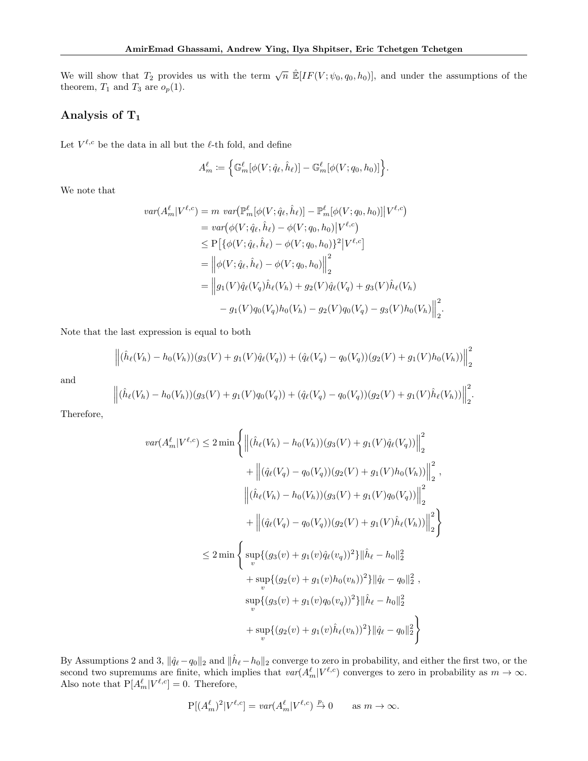We will show that  $T_2$  provides us with the term  $\sqrt{n} \mathbb{E}[IF(V; \psi_0, q_0, h_0)]$ , and under the assumptions of the theorem,  $T_1$  and  $T_3$  are  $o_p(1)$ .

# Analysis of  $T_1$

Let  $V^{\ell,c}$  be the data in all but the  $\ell$ -th fold, and define

$$
A_m^{\ell} := \left\{ \mathbb{G}_m^{\ell} [\phi(V; \hat{q}_{\ell}, \hat{h}_{\ell})] - \mathbb{G}_m^{\ell} [\phi(V; q_0, h_0)] \right\}.
$$

We note that

$$
var(A_m^{\ell}|V^{\ell,c}) = m \ var(\mathbb{P}_m^{\ell}[\phi(V; \hat{q}_{\ell}, \hat{h}_{\ell})] - \mathbb{P}_m^{\ell}[\phi(V; q_0, h_0)]|V^{\ell,c})
$$
  
\n
$$
= var(\phi(V; \hat{q}_{\ell}, \hat{h}_{\ell}) - \phi(V; q_0, h_0)|V^{\ell,c})
$$
  
\n
$$
\leq P[\{\phi(V; \hat{q}_{\ell}, \hat{h}_{\ell}) - \phi(V; q_0, h_0)\}^2|V^{\ell,c}]
$$
  
\n
$$
= ||\phi(V; \hat{q}_{\ell}, \hat{h}_{\ell}) - \phi(V; q_0, h_0)||_2^2
$$
  
\n
$$
= ||g_1(V)\hat{q}_{\ell}(V_q)\hat{h}_{\ell}(V_h) + g_2(V)\hat{q}_{\ell}(V_q) + g_3(V)\hat{h}_{\ell}(V_h)
$$
  
\n
$$
- g_1(V)q_0(V_q)h_0(V_h) - g_2(V)q_0(V_q) - g_3(V)h_0(V_h)||_2^2.
$$

Note that the last expression is equal to both

$$
\left\| (\hat{h}_{\ell}(V_h) - h_0(V_h))(g_3(V) + g_1(V)\hat{q}_{\ell}(V_q)) + (\hat{q}_{\ell}(V_q) - q_0(V_q))(g_2(V) + g_1(V)h_0(V_h)) \right\|_2^2
$$

and

$$
\left\| (\hat{h}_{\ell}(V_h) - h_0(V_h))(g_3(V) + g_1(V)q_0(V_q)) + (\hat{q}_{\ell}(V_q) - q_0(V_q))(g_2(V) + g_1(V)\hat{h}_{\ell}(V_h)) \right\|_2^2.
$$

Therefore,

$$
var(A_m^{\ell}|V^{\ell,c}) \le 2 \min \left\{ \left\| (\hat{h}_{\ell}(V_h) - h_0(V_h))(g_3(V) + g_1(V)\hat{q}_{\ell}(V_q)) \right\|_2^2 + \left\| (\hat{q}_{\ell}(V_q) - q_0(V_q))(g_2(V) + g_1(V)h_0(V_h)) \right\|_2^2,
$$
  

$$
\left\| (\hat{h}_{\ell}(V_h) - h_0(V_h))(g_3(V) + g_1(V)q_0(V_q)) \right\|_2^2 + \left\| (\hat{q}_{\ell}(V_q) - q_0(V_q))(g_2(V) + g_1(V)\hat{h}_{\ell}(V_h)) \right\|_2^2 \right\}
$$
  

$$
\le 2 \min \left\{ \sup_{v} \{ (g_3(v) + g_1(v)\hat{q}_{\ell}(v_q))^2 \} \|\hat{h}_{\ell} - h_0\|_2^2 + \sup_{v} \{ (g_2(v) + g_1(v)h_0(v_h))^2 \} \|\hat{q}_{\ell} - q_0\|_2^2 ,
$$
  

$$
sup_{v} \{ (g_3(v) + g_1(v)q_0(v_q))^2 \} \|\hat{h}_{\ell} - h_0\|_2^2
$$
  

$$
+ sup_{v} \{ (g_2(v) + g_1(v)\hat{h}_{\ell}(v_h))^2 \} \|\hat{q}_{\ell} - q_0\|_2^2 \right\}
$$

By Assumptions 2 and 3,  $\|\hat{q}_{\ell} - q_0\|_2$  and  $\|\hat{h}_{\ell} - h_0\|_2$  converge to zero in probability, and either the first two, or the second two supremums are finite, which implies that  $var(A_m^{\ell}|V^{\ell,c})$  converges to zero in probability as  $m \to \infty$ . Also note that  $P[A_m^{\ell}|V^{\ell,c}] = 0$ . Therefore,

$$
P[(A_m^{\ell})^2 | V^{\ell,c}] = \text{var}(A_m^{\ell} | V^{\ell,c}) \stackrel{p}{\to} 0 \quad \text{as } m \to \infty.
$$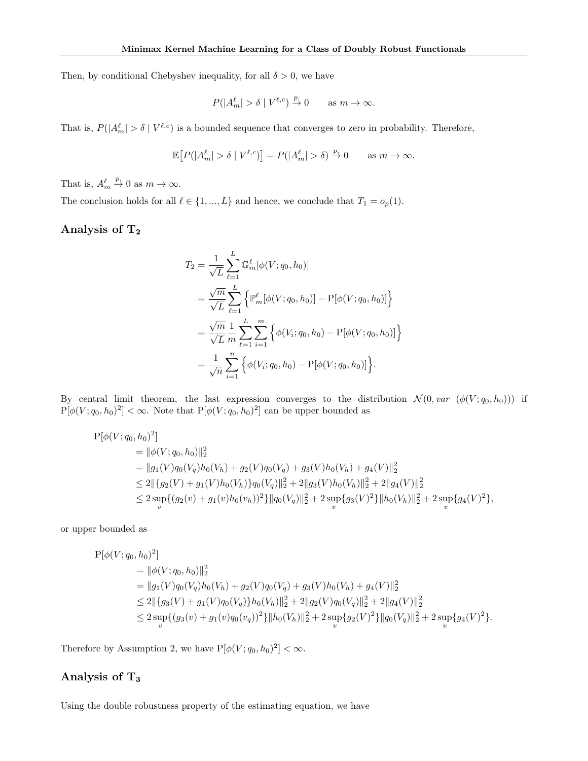Then, by conditional Chebyshev inequality, for all  $\delta > 0$ , we have

$$
P(|A_m^\ell| > \delta \mid V^{\ell,c}) \stackrel{p.}{\to} 0 \qquad \text{as } m \to \infty.
$$

That is,  $P(|A_m^{\ell}| > \delta | V^{\ell,c})$  is a bounded sequence that converges to zero in probability. Therefore,

$$
\mathbb{E}\!\left[P(|A_m^\ell|>\delta\mid V^{\ell,c})\right]=P(|A_m^\ell|>\delta)\xrightarrow{p} 0\qquad\text{as $m\to\infty$}.
$$

That is,  $A_m^{\ell}$  $\stackrel{p}{\rightarrow} 0$  as  $m \to \infty$ .

The conclusion holds for all  $\ell \in \{1, ..., L\}$  and hence, we conclude that  $T_1 = o_p(1)$ .

# Analysis of  $T_2$

$$
T_2 = \frac{1}{\sqrt{L}} \sum_{\ell=1}^L \mathbb{G}_m^{\ell} [\phi(V; q_0, h_0)]
$$
  
=  $\frac{\sqrt{m}}{\sqrt{L}} \sum_{\ell=1}^L \left\{ \mathbb{P}_m^{\ell} [\phi(V; q_0, h_0)] - \mathbb{P}[\phi(V; q_0, h_0)] \right\}$   
=  $\frac{\sqrt{m}}{\sqrt{L}} \frac{1}{m} \sum_{\ell=1}^L \sum_{i=1}^m \left\{ \phi(V_i; q_0, h_0) - \mathbb{P}[\phi(V; q_0, h_0)] \right\}$   
=  $\frac{1}{\sqrt{n}} \sum_{i=1}^n \left\{ \phi(V_i; q_0, h_0) - \mathbb{P}[\phi(V; q_0, h_0)] \right\}.$ 

By central limit theorem, the last expression converges to the distribution  $\mathcal{N}(0, var \ (\phi(V; q_0, h_0)))$  if  $P[\phi(V; q_0, h_0)^2] < \infty$ . Note that  $P[\phi(V; q_0, h_0)^2]$  can be upper bounded as

$$
P[\phi(V; q_0, h_0)^2]
$$
  
=  $||\phi(V; q_0, h_0)||_2^2$   
=  $||g_1(V)q_0(V_q)h_0(V_h) + g_2(V)q_0(V_q) + g_3(V)h_0(V_h) + g_4(V)||_2^2$   
 $\leq 2||\{g_2(V) + g_1(V)h_0(V_h)\}q_0(V_q)||_2^2 + 2||g_3(V)h_0(V_h)||_2^2 + 2||g_4(V)||_2^2$   
 $\leq 2 \sup_v { (g_2(v) + g_1(v)h_0(v_h))^2 } ||q_0(V_q)||_2^2 + 2 \sup_v { g_3(V)^2 } ||h_0(V_h)||_2^2 + 2 \sup_v { g_4(V)^2 } },$ 

or upper bounded as

$$
P[\phi(V; q_0, h_0)^2]
$$
  
=  $||\phi(V; q_0, h_0)||_2^2$   
=  $||g_1(V)q_0(V_q)h_0(V_h) + g_2(V)q_0(V_q) + g_3(V)h_0(V_h) + g_4(V)||_2^2$   
 $\leq 2||\{g_3(V) + g_1(V)q_0(V_q)\}h_0(V_h)||_2^2 + 2||g_2(V)q_0(V_q)||_2^2 + 2||g_4(V)||_2^2$   
 $\leq 2 \sup_v \{(g_3(v) + g_1(v)q_0(v_q))^2\}||h_0(V_h)||_2^2 + 2 \sup_v \{g_2(V)^2\}||q_0(V_q)||_2^2 + 2 \sup_v \{g_4(V)^2\}.$ 

Therefore by Assumption 2, we have  $P[\phi(V; q_0, h_0)^2] < \infty$ .

# Analysis of T<sup>3</sup>

Using the double robustness property of the estimating equation, we have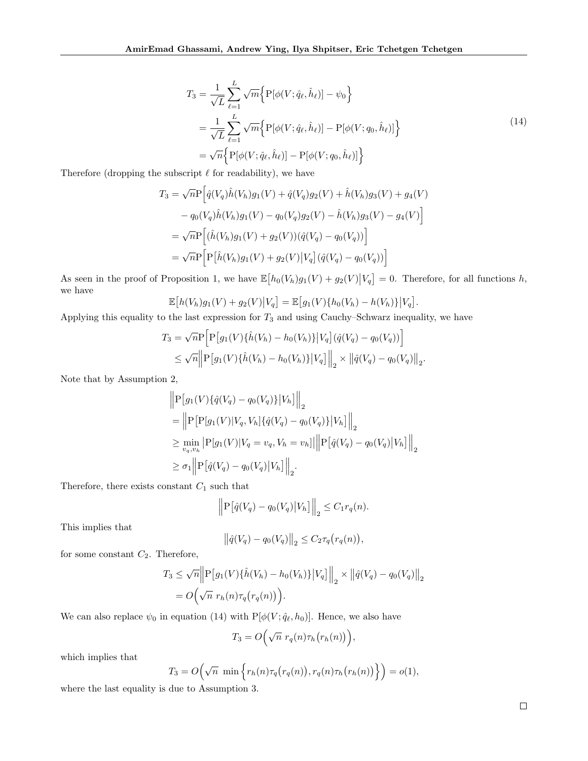$$
T_3 = \frac{1}{\sqrt{L}} \sum_{\ell=1}^{L} \sqrt{m} \Big\{ P[\phi(V; \hat{q}_{\ell}, \hat{h}_{\ell})] - \psi_0 \Big\}
$$
  
= 
$$
\frac{1}{\sqrt{L}} \sum_{\ell=1}^{L} \sqrt{m} \Big\{ P[\phi(V; \hat{q}_{\ell}, \hat{h}_{\ell})] - P[\phi(V; q_0, \hat{h}_{\ell})] \Big\}
$$
  
= 
$$
\sqrt{n} \Big\{ P[\phi(V; \hat{q}_{\ell}, \hat{h}_{\ell})] - P[\phi(V; q_0, \hat{h}_{\ell})] \Big\}
$$
 (14)

Therefore (dropping the subscript  $\ell$  for readability), we have

$$
T_3 = \sqrt{n}\mathcal{P}\Big[\hat{q}(V_q)\hat{h}(V_h)g_1(V) + \hat{q}(V_q)g_2(V) + \hat{h}(V_h)g_3(V) + g_4(V) - q_0(V_q)\hat{h}(V_h)g_1(V) - q_0(V_q)g_2(V) - \hat{h}(V_h)g_3(V) - g_4(V)\Big] = \sqrt{n}\mathcal{P}\Big[(\hat{h}(V_h)g_1(V) + g_2(V))(\hat{q}(V_q) - q_0(V_q))\Big] = \sqrt{n}\mathcal{P}\Big[\mathcal{P}\big[\hat{h}(V_h)g_1(V) + g_2(V)\big|V_q\big](\hat{q}(V_q) - q_0(V_q))\Big]
$$

As seen in the proof of Proposition 1, we have  $\mathbb{E}[h_0(V_h)g_1(V) + g_2(V)|V_q] = 0$ . Therefore, for all functions h, we have

$$
\mathbb{E}[h(V_h)g_1(V) + g_2(V)|V_q] = \mathbb{E}[g_1(V)\{h_0(V_h) - h(V_h)\}|V_q].
$$

Applying this equality to the last expression for *T*<sup>3</sup> and using Cauchy–Schwarz inequality, we have

$$
T_3 = \sqrt{n} P \Big[ P \big[ g_1(V) \{ \hat{h}(V_h) - h_0(V_h) \} \big| V_q \big] (\hat{q}(V_q) - q_0(V_q)) \Big]
$$
  
 
$$
\leq \sqrt{n} \Big\| P \big[ g_1(V) \{ \hat{h}(V_h) - h_0(V_h) \} \big| V_q \big] \Big\|_2 \times \big\| \hat{q}(V_q) - q_0(V_q) \big\|_2.
$$

Note that by Assumption 2,

$$
\|P[g_1(V)\{\hat{q}(V_q) - q_0(V_q)\}|V_h]\|_2
$$
  
= 
$$
\|P[P[g_1(V)|V_q, V_h]\{\hat{q}(V_q) - q_0(V_q)\}|V_h]\|_2
$$
  

$$
\geq \min_{v_q, v_h} |P[g_1(V)|V_q = v_q, V_h = v_h]|\|P[\hat{q}(V_q) - q_0(V_q)|V_h]\|_2
$$
  

$$
\geq \sigma_1 \left\|P[\hat{q}(V_q) - q_0(V_q)|V_h]\right\|_2.
$$

Therefore, there exists constant  $C_1$  such that

$$
\left\| \mathbf{P} \big[ \hat{q}(V_q) - q_0(V_q) \big| V_h \big] \right\|_2 \le C_1 r_q(n).
$$

This implies that

$$
\left\|\hat{q}(V_q) - q_0(V_q)\right\|_2 \le C_2 \tau_q(r_q(n)),
$$

for some constant *C*2. Therefore,

$$
T_3 \le \sqrt{n} \Big\| P \big[ g_1(V) \{\hat{h}(V_h) - h_0(V_h)\} \big| V_q \big] \Big\|_2 \times \big\| \hat{q}(V_q) - q_0(V_q) \big\|_2
$$
  
=  $O \Big( \sqrt{n} \ r_h(n) \tau_q(r_q(n)) \Big).$ 

We can also replace  $\psi_0$  in equation (14) with  $P[\phi(V; \hat{q}_\ell, h_0)]$ . Hence, we also have

$$
T_3 = O\left(\sqrt{n} \ r_q(n) \tau_h(r_h(n))\right)
$$

*,*

which implies that

$$
T_3 = O\left(\sqrt{n} \min \left\{r_h(n)\tau_q(r_q(n)), r_q(n)\tau_h(r_h(n))\right\}\right) = o(1),
$$

where the last equality is due to Assumption 3.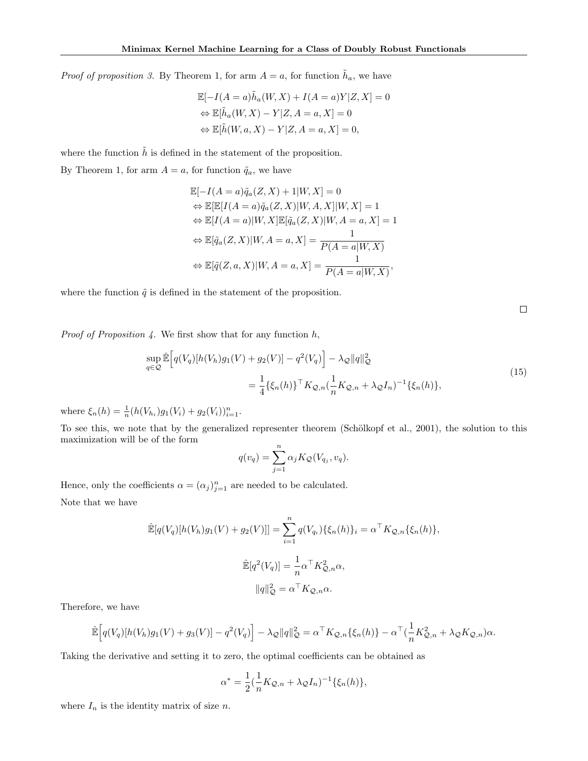*Proof of proposition 3.* By Theorem 1, for arm  $A = a$ , for function  $\tilde{h}_a$ , we have

$$
\mathbb{E}[-I(A=a)\tilde{h}_a(W,X) + I(A=a)Y|Z,X] = 0
$$
  
\n
$$
\Leftrightarrow \mathbb{E}[\tilde{h}_a(W,X) - Y|Z,A=a,X] = 0
$$
  
\n
$$
\Leftrightarrow \mathbb{E}[\tilde{h}(W,a,X) - Y|Z,A=a,X] = 0,
$$

where the function  $\tilde{h}$  is defined in the statement of the proposition.

By Theorem 1, for arm  $A = a$ , for function  $\tilde{q}_a$ , we have

$$
\mathbb{E}[-I(A=a)\tilde{q}_a(Z,X) + 1|W,X] = 0
$$
  
\n
$$
\Leftrightarrow \mathbb{E}[\mathbb{E}[I(A=a)\tilde{q}_a(Z,X)|W,A,X]|W,X] = 1
$$
  
\n
$$
\Leftrightarrow \mathbb{E}[I(A=a)|W,X]\mathbb{E}[\tilde{q}_a(Z,X)|W,A=a,X] = 1
$$
  
\n
$$
\Leftrightarrow \mathbb{E}[\tilde{q}_a(Z,X)|W,A=a,X] = \frac{1}{P(A=a|W,X)}
$$
  
\n
$$
\Leftrightarrow \mathbb{E}[\tilde{q}(Z,a,X)|W,A=a,X] = \frac{1}{P(A=a|W,X)},
$$

where the function  $\tilde{q}$  is defined in the statement of the proposition.

 $\Box$ 

*Proof of Proposition 4.* We first show that for any function *h*,

$$
\sup_{q \in \mathcal{Q}} \hat{\mathbb{E}} \Big[ q(V_q)[h(V_h)g_1(V) + g_2(V)] - q^2(V_q) \Big] - \lambda_{\mathcal{Q}} \|q\|_{\mathcal{Q}}^2
$$
\n
$$
= \frac{1}{4} \{ \xi_n(h) \}^\top K_{\mathcal{Q},n} \left( \frac{1}{n} K_{\mathcal{Q},n} + \lambda_{\mathcal{Q}} I_n \right)^{-1} \{ \xi_n(h) \},
$$
\n(15)

where  $\xi_n(h) = \frac{1}{n} (h(V_{h_i})g_1(V_i) + g_2(V_i))_{i=1}^n$ .

To see this, we note that by the generalized representer theorem (Schölkopf et al., 2001), the solution to this maximization will be of the form

$$
q(v_q) = \sum_{j=1}^n \alpha_j K_{\mathcal{Q}}(V_{q_j}, v_q).
$$

Hence, only the coefficients  $\alpha = (\alpha_j)_{j=1}^n$  are needed to be calculated.

Note that we have

$$
\hat{\mathbb{E}}[q(V_q)[h(V_h)g_1(V) + g_2(V)]] = \sum_{i=1}^n q(V_{q_i})\{\xi_n(h)\}_i = \alpha^{\top} K_{\mathcal{Q},n}\{\xi_n(h)\},
$$
  

$$
\hat{\mathbb{E}}[q^2(V_q)] = \frac{1}{n}\alpha^{\top} K_{\mathcal{Q},n}^2 \alpha,
$$
  

$$
||q||_{\mathcal{Q}}^2 = \alpha^{\top} K_{\mathcal{Q},n} \alpha.
$$

Therefore, we have

$$
\mathbb{\hat{E}}\Big[q(V_q)[h(V_h)g_1(V) + g_3(V)] - q^2(V_q)\Big] - \lambda_{\mathcal{Q}}\|q\|_{\mathcal{Q}}^2 = \alpha^{\top}K_{\mathcal{Q},n}\{\xi_n(h)\} - \alpha^{\top}\big(\frac{1}{n}K_{\mathcal{Q},n}^2 + \lambda_{\mathcal{Q}}K_{\mathcal{Q},n}\big)\alpha.
$$

Taking the derivative and setting it to zero, the optimal coefficients can be obtained as

$$
\alpha^* = \frac{1}{2} \left( \frac{1}{n} K_{\mathcal{Q}, n} + \lambda_{\mathcal{Q}} I_n \right)^{-1} \{ \xi_n(h) \},
$$

where  $I_n$  is the identity matrix of size  $n$ .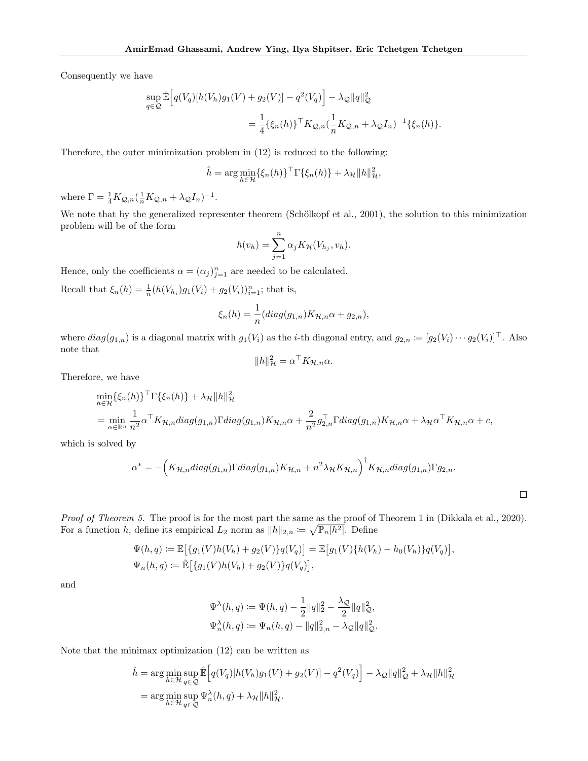Consequently we have

$$
\sup_{q \in \mathcal{Q}} \hat{\mathbb{E}} \Big[ q(V_q)[h(V_h)g_1(V) + g_2(V)] - q^2(V_q) \Big] - \lambda_{\mathcal{Q}} \|q\|_{\mathcal{Q}}^2
$$
  
= 
$$
\frac{1}{4} \{ \xi_n(h) \}^\top K_{\mathcal{Q},n} (\frac{1}{n} K_{\mathcal{Q},n} + \lambda_{\mathcal{Q}} I_n)^{-1} \{ \xi_n(h) \}.
$$

Therefore, the outer minimization problem in (12) is reduced to the following:

$$
\hat{h} = \arg\min_{h \in \mathcal{H}} \{ \xi_n(h) \}^\top \Gamma \{ \xi_n(h) \} + \lambda_{\mathcal{H}} ||h||_{\mathcal{H}}^2,
$$

where  $\Gamma = \frac{1}{4}K_{\mathcal{Q},n}(\frac{1}{n}K_{\mathcal{Q},n} + \lambda_{\mathcal{Q}}I_n)^{-1}$ .

We note that by the generalized representer theorem (Schölkopf et al., 2001), the solution to this minimization problem will be of the form

$$
h(v_h) = \sum_{j=1}^n \alpha_j K_{\mathcal{H}}(V_{h_j}, v_h).
$$

Hence, only the coefficients  $\alpha = (\alpha_j)_{j=1}^n$  are needed to be calculated.

Recall that  $\xi_n(h) = \frac{1}{n} (h(V_{h_i}) g_1(V_i) + g_2(V_i))_{i=1}^n$ ; that is,

$$
\xi_n(h) = \frac{1}{n} (diag(g_{1,n}) K_{\mathcal{H},n} \alpha + g_{2,n}),
$$

where  $diag(g_{1,n})$  is a diagonal matrix with  $g_1(V_i)$  as the *i*-th diagonal entry, and  $g_{2,n} \coloneqq [g_2(V_i) \cdots g_2(V_i)]^{\top}$ . Also note that

$$
||h||_{\mathcal{H}}^2 = \alpha^{\top} K_{\mathcal{H},n} \alpha.
$$

Therefore, we have

$$
\min_{h \in \mathcal{H}} \{\xi_n(h)\}^{\top} \Gamma \{\xi_n(h)\} + \lambda_{\mathcal{H}} \|h\|_{\mathcal{H}}^2
$$
\n
$$
= \min_{\alpha \in \mathbb{R}^n} \frac{1}{n^2} \alpha^{\top} K_{\mathcal{H},n} diag(g_{1,n}) \Gamma diag(g_{1,n}) K_{\mathcal{H},n} \alpha + \frac{2}{n^2} g_{2,n}^{\top} \Gamma diag(g_{1,n}) K_{\mathcal{H},n} \alpha + \lambda_{\mathcal{H}} \alpha^{\top} K_{\mathcal{H},n} \alpha + c,
$$

which is solved by

$$
\alpha^* = -\Big(K_{\mathcal{H},n}diag(g_{1,n})\Gamma diag(g_{1,n})K_{\mathcal{H},n} + n^2\lambda_{\mathcal{H}}K_{\mathcal{H},n}\Big)^{\dagger}K_{\mathcal{H},n}diag(g_{1,n})\Gamma g_{2,n}.
$$

 $\Box$ 

*Proof of Theorem 5.* The proof is for the most part the same as the proof of Theorem 1 in (Dikkala et al., 2020). For a function *h*, define its empirical  $L_2$  norm as  $||h||_{2,n} := \sqrt{\mathbb{P}_n[h^2]}$ . Define

$$
\Psi(h,q) := \mathbb{E}\big[\{g_1(V)h(V_h) + g_2(V)\}q(V_q)\big] = \mathbb{E}\big[g_1(V)\{h(V_h) - h_0(V_h)\}q(V_q)\big],
$$
  

$$
\Psi_n(h,q) := \mathbb{E}\big[\{g_1(V)h(V_h) + g_2(V)\}q(V_q)\big],
$$

and

$$
\Psi^{\lambda}(h,q) := \Psi(h,q) - \frac{1}{2} ||q||_2^2 - \frac{\lambda_{\mathcal{Q}}}{2} ||q||_{\mathcal{Q}}^2,
$$
  

$$
\Psi_n^{\lambda}(h,q) := \Psi_n(h,q) - ||q||_{2,n}^2 - \lambda_{\mathcal{Q}} ||q||_{\mathcal{Q}}^2.
$$

Note that the minimax optimization (12) can be written as

$$
\hat{h} = \arg\min_{h \in \mathcal{H}} \sup_{q \in \mathcal{Q}} \hat{\mathbb{E}} \Big[ q(V_q)[h(V_h)g_1(V) + g_2(V)] - q^2(V_q) \Big] - \lambda_{\mathcal{Q}} \|q\|_{\mathcal{Q}}^2 + \lambda_{\mathcal{H}} \|h\|_{\mathcal{H}}^2
$$
  
= 
$$
\arg\min_{h \in \mathcal{H}} \sup_{q \in \mathcal{Q}} \Psi_n^{\lambda}(h, q) + \lambda_{\mathcal{H}} \|h\|_{\mathcal{H}}^2.
$$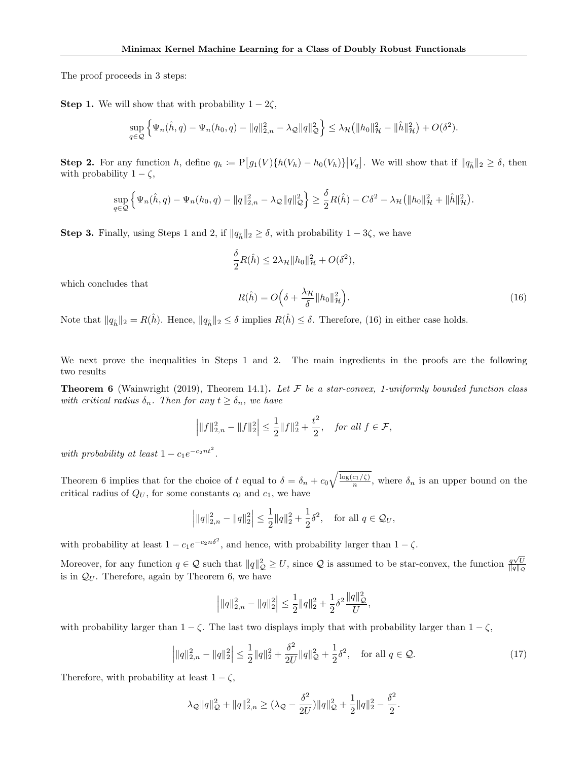The proof proceeds in 3 steps:

**Step 1.** We will show that with probability  $1 - 2\zeta$ ,

$$
\sup_{q\in\mathcal{Q}} \left\{ \Psi_n(\hat{h}, q) - \Psi_n(h_0, q) - ||q||_{2,n}^2 - \lambda_{\mathcal{Q}} ||q||_{\mathcal{Q}}^2 \right\} \leq \lambda_{\mathcal{H}} \left( ||h_0||_{\mathcal{H}}^2 - ||\hat{h}||_{\mathcal{H}}^2 \right) + O(\delta^2).
$$

**Step 2.** For any function h, define  $q_h := P[g_1(V)\{h(V_h) - h_0(V_h)\} | V_q]$ . We will show that if  $||q_h||_2 \ge \delta$ , then with probability  $1 - \zeta$ ,

$$
\sup_{q\in\mathcal{Q}}\left\{\Psi_n(\hat{h},q) - \Psi_n(h_0,q) - \|q\|_{2,n}^2 - \lambda_{\mathcal{Q}}\|q\|_{\mathcal{Q}}^2\right\} \ge \frac{\delta}{2}R(\hat{h}) - C\delta^2 - \lambda_{\mathcal{H}}\big(\|h_0\|_{\mathcal{H}}^2 + \|\hat{h}\|_{\mathcal{H}}^2\big).
$$

**Step 3.** Finally, using Steps 1 and 2, if  $||q_h||_2 \ge \delta$ , with probability  $1 - 3\zeta$ , we have

$$
\frac{\delta}{2}R(\hat{h}) \le 2\lambda_{\mathcal{H}} \|h_0\|_{\mathcal{H}}^2 + O(\delta^2),
$$

which concludes that

$$
R(\hat{h}) = O\left(\delta + \frac{\lambda_{\mathcal{H}}}{\delta} \|h_0\|_{\mathcal{H}}^2\right).
$$
\n(16)

Note that  $||q_{\hat{h}}||_2 = R(\hat{h})$ . Hence,  $||q_{\hat{h}}||_2 \leq \delta$  implies  $R(\hat{h}) \leq \delta$ . Therefore, (16) in either case holds.

We next prove the inequalities in Steps 1 and 2. The main ingredients in the proofs are the following two results

**Theorem 6** (Wainwright (2019), Theorem 14.1). Let  $\mathcal F$  be a star-convex, 1-uniformly bounded function class *with critical radius*  $\delta_n$ *. Then for any*  $t \geq \delta_n$ *, we have* 

$$
\left| \|f\|_{2,n}^2 - \|f\|_2^2 \right| \le \frac{1}{2} \|f\|_2^2 + \frac{t^2}{2}, \quad \text{for all } f \in \mathcal{F},
$$

*with probability at least*  $1 - c_1e^{-c_2nt^2}$ .

Theorem 6 implies that for the choice of *t* equal to  $\delta = \delta_n + c_0 \sqrt{\frac{\log(c_1/\zeta)}{n}}$ , where  $\delta_n$  is an upper bound on the critical radius of  $Q_U$ , for some constants  $c_0$  and  $c_1$ , we have

$$
\left| \|q\|_{2,n}^2 - \|q\|_2^2 \right| \le \frac{1}{2} \|q\|_2^2 + \frac{1}{2} \delta^2, \quad \text{for all } q \in \mathcal{Q}_U,
$$

with probability at least  $1 - c_1 e^{-c_2 n \delta^2}$ , and hence, with probability larger than  $1 - \zeta$ .

Moreover, for any function  $q \in \mathcal{Q}$  such that  $||q||_{\mathcal{Q}}^2 \geq U$ , since  $\mathcal{Q}$  is assumed to be star-convex, the function  $\frac{q\sqrt{U}}{||q||_{\mathcal{Q}}}$  $||q||_{\mathcal{Q}}$ is in  $\mathcal{Q}_U$ . Therefore, again by Theorem 6, we have

$$
\left| \| q \|_{2,n}^2 - \| q \|_2^2 \right| \leq \frac{1}{2} \| q \|_2^2 + \frac{1}{2} \delta^2 \frac{\| q \|_{\mathcal{Q}}^2}{U},
$$

with probability larger than  $1 - \zeta$ . The last two displays imply that with probability larger than  $1 - \zeta$ ,

$$
\left| \|q\|_{2,n}^2 - \|q\|_2^2 \right| \le \frac{1}{2} \|q\|_2^2 + \frac{\delta^2}{2U} \|q\|_{\mathcal{Q}}^2 + \frac{1}{2} \delta^2, \quad \text{for all } q \in \mathcal{Q}.
$$
 (17)

Therefore, with probability at least  $1 - \zeta$ ,

$$
\lambda_{\mathcal{Q}}\|q\|_{\mathcal{Q}}^2 + \|q\|_{2,n}^2 \geq (\lambda_{\mathcal{Q}} - \frac{\delta^2}{2U})\|q\|_{\mathcal{Q}}^2 + \frac{1}{2}\|q\|_2^2 - \frac{\delta^2}{2}.
$$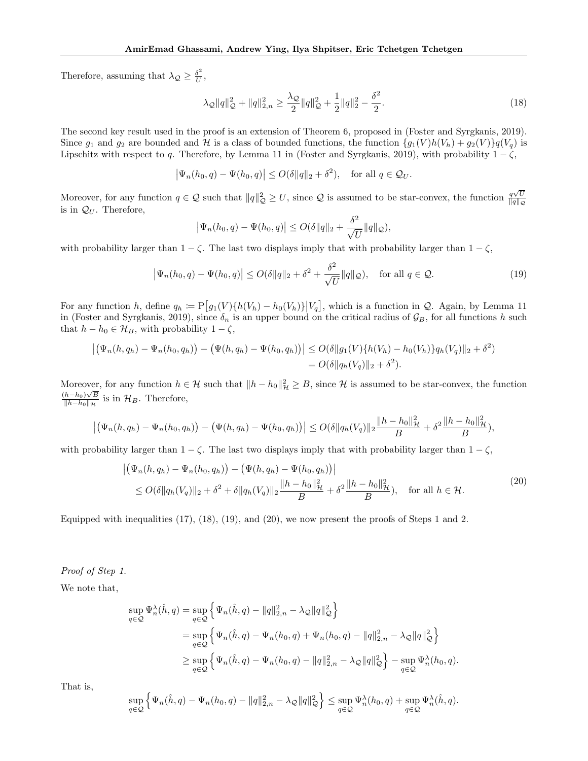Therefore, assuming that  $\lambda_{\mathcal{Q}} \geq \frac{\delta^2}{U}$ ,

$$
\lambda_{\mathcal{Q}}\|q\|_{\mathcal{Q}}^2 + \|q\|_{2,n}^2 \ge \frac{\lambda_{\mathcal{Q}}}{2} \|q\|_{\mathcal{Q}}^2 + \frac{1}{2} \|q\|_2^2 - \frac{\delta^2}{2}.
$$
\n(18)

The second key result used in the proof is an extension of Theorem 6, proposed in (Foster and Syrgkanis, 2019). Since  $g_1$  and  $g_2$  are bounded and  $\mathcal{H}$  is a class of bounded functions, the function  $\{g_1(V)h(V_h)+g_2(V)\}q(V_q)$  is Lipschitz with respect to *q*. Therefore, by Lemma 11 in (Foster and Syrgkanis, 2019), with probability  $1 - \zeta$ ,

$$
\left|\Psi_n(h_0, q) - \Psi(h_0, q)\right| \le O(\delta \|q\|_2 + \delta^2), \quad \text{for all } q \in \mathcal{Q}_U.
$$

Moreover, for any function  $q \in \mathcal{Q}$  such that  $||q||_{\mathcal{Q}}^2 \geq U$ , since  $\mathcal{Q}$  is assumed to be star-convex, the function  $\frac{q\sqrt{U}}{||q||_{\mathcal{Q}}}$  $||q||_{\mathcal{Q}}$ is in  $\mathcal{Q}_U$ . Therefore,

$$
\left|\Psi_n(h_0, q) - \Psi(h_0, q)\right| \le O(\delta \|q\|_2 + \frac{\delta^2}{\sqrt{U}} \|q\|_{\mathcal{Q}}),
$$

with probability larger than  $1 - \zeta$ . The last two displays imply that with probability larger than  $1 - \zeta$ ,

$$
\left|\Psi_n(h_0, q) - \Psi(h_0, q)\right| \le O(\delta \|q\|_2 + \delta^2 + \frac{\delta^2}{\sqrt{U}}\|q\|_{\mathcal{Q}}), \quad \text{for all } q \in \mathcal{Q}.
$$
 (19)

For any function *h*, define  $q_h := P[g_1(V)\{h(V_h) - h_0(V_h)\} | V_q]$ , which is a function in *Q*. Again, by Lemma 11 in (Foster and Syrgkanis, 2019), since  $\delta_n$  is an upper bound on the critical radius of  $\mathcal{G}_B$ , for all functions *h* such that  $h - h_0 \in \mathcal{H}_B$ , with probability  $1 - \zeta$ ,

$$
\left| \left( \Psi_n(h, q_h) - \Psi_n(h_0, q_h) \right) - \left( \Psi(h, q_h) - \Psi(h_0, q_h) \right) \right| \le O(\delta \| g_1(V) \{ h(V_h) - h_0(V_h) \} q_h(V_q) \|_2 + \delta^2)
$$
  
=  $O(\delta \| q_h(V_q) \|_2 + \delta^2)$ .

Moreover, for any function  $h \in \mathcal{H}$  such that  $\|h - h_0\|_{\mathcal{H}}^2 \geq B$ , since  $\mathcal{H}$  is assumed to be star-convex, the function  $\frac{(h-h_0)\sqrt{B}}{||h-h_0||_{\mathcal{H}}}$  is in  $\mathcal{H}_B$ . Therefore,

$$
\left| \left( \Psi_n(h,q_h) - \Psi_n(h_0,q_h) \right) - \left( \Psi(h,q_h) - \Psi(h_0,q_h) \right) \right| \le O(\delta \| q_h(V_q) \|_2 \frac{\|h - h_0\|_{{\mathcal{H}}}^2}{B} + \delta^2 \frac{\|h - h_0\|_{{\mathcal{H}}}^2}{B}),
$$

with probability larger than  $1 - \zeta$ . The last two displays imply that with probability larger than  $1 - \zeta$ ,

$$
\left| \left( \Psi_n(h, q_h) - \Psi_n(h_0, q_h) \right) - \left( \Psi(h, q_h) - \Psi(h_0, q_h) \right) \right|
$$
  
\n
$$
\leq O(\delta \| q_h(V_q) \|_2 + \delta^2 + \delta \| q_h(V_q) \|_2 \frac{\|h - h_0\|_H^2}{B} + \delta^2 \frac{\|h - h_0\|_H^2}{B}, \quad \text{for all } h \in \mathcal{H}.
$$
\n(20)

Equipped with inequalities (17), (18), (19), and (20), we now present the proofs of Steps 1 and 2.

*Proof of Step 1.*

We note that,

$$
\sup_{q\in\mathcal{Q}} \Psi_n^{\lambda}(\hat{h}, q) = \sup_{q\in\mathcal{Q}} \left\{ \Psi_n(\hat{h}, q) - ||q||_{2,n}^2 - \lambda_{\mathcal{Q}} ||q||_{\mathcal{Q}}^2 \right\}
$$
  
\n
$$
= \sup_{q\in\mathcal{Q}} \left\{ \Psi_n(\hat{h}, q) - \Psi_n(h_0, q) + \Psi_n(h_0, q) - ||q||_{2,n}^2 - \lambda_{\mathcal{Q}} ||q||_{\mathcal{Q}}^2 \right\}
$$
  
\n
$$
\geq \sup_{q\in\mathcal{Q}} \left\{ \Psi_n(\hat{h}, q) - \Psi_n(h_0, q) - ||q||_{2,n}^2 - \lambda_{\mathcal{Q}} ||q||_{\mathcal{Q}}^2 \right\} - \sup_{q\in\mathcal{Q}} \Psi_n^{\lambda}(h_0, q).
$$

That is,

$$
\sup_{q\in\mathcal{Q}}\left\{\Psi_n(\hat{h},q) - \Psi_n(h_0,q) - \|q\|_{2,n}^2 - \lambda_{\mathcal{Q}}\|q\|_{\mathcal{Q}}^2\right\} \leq \sup_{q\in\mathcal{Q}}\Psi_n^{\lambda}(h_0,q) + \sup_{q\in\mathcal{Q}}\Psi_n^{\lambda}(\hat{h},q).
$$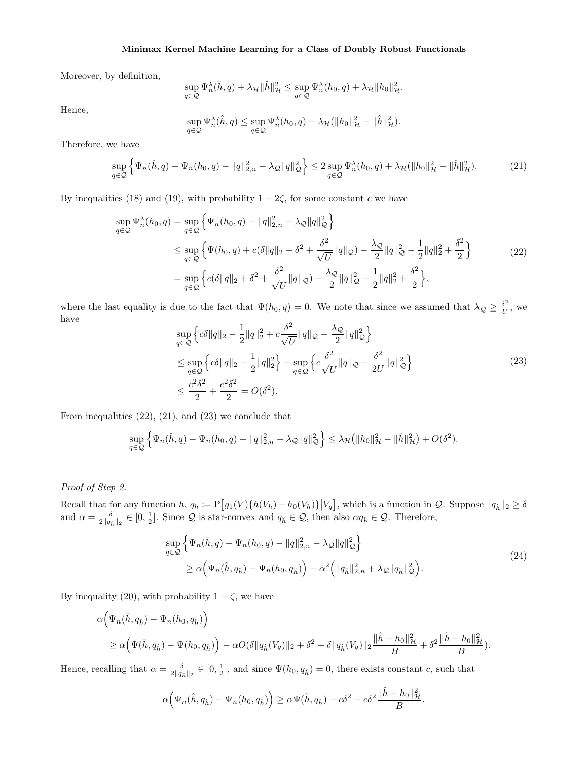Moreover, by definition,

$$
\sup_{q\in\mathcal{Q}}\Psi_n^{\lambda}(\hat{h},q)+\lambda_{\mathcal{H}}\|\hat{h}\|_{\mathcal{H}}^2\leq \sup_{q\in\mathcal{Q}}\Psi_n^{\lambda}(h_0,q)+\lambda_{\mathcal{H}}\|h_0\|_{\mathcal{H}}^2.
$$

Hence,

$$
\sup_{q\in\mathcal{Q}}\Psi_n^{\lambda}(\hat{h},q)\leq \sup_{q\in\mathcal{Q}}\Psi_n^{\lambda}(h_0,q)+\lambda_{\mathcal{H}}(\|h_0\|_{\mathcal{H}}^2-\|\hat{h}\|_{\mathcal{H}}^2).
$$

Therefore, we have

$$
\sup_{q\in\mathcal{Q}} \left\{ \Psi_n(\hat{h}, q) - \Psi_n(h_0, q) - ||q||_{2,n}^2 - \lambda_{\mathcal{Q}} ||q||_{\mathcal{Q}}^2 \right\} \le 2 \sup_{q\in\mathcal{Q}} \Psi_n^{\lambda}(h_0, q) + \lambda_{\mathcal{H}} (||h_0||_{\mathcal{H}}^2 - ||\hat{h}||_{\mathcal{H}}^2). \tag{21}
$$

By inequalities (18) and (19), with probability  $1 - 2\zeta$ , for some constant *c* we have

$$
\sup_{q \in \mathcal{Q}} \Psi_n^{\lambda}(h_0, q) = \sup_{q \in \mathcal{Q}} \left\{ \Psi_n(h_0, q) - ||q||_{2,n}^2 - \lambda_{\mathcal{Q}} ||q||_{\mathcal{Q}}^2 \right\}
$$
  
\n
$$
\leq \sup_{q \in \mathcal{Q}} \left\{ \Psi(h_0, q) + c(\delta ||q||_2 + \delta^2 + \frac{\delta^2}{\sqrt{U}} ||q||_{\mathcal{Q}}) - \frac{\lambda_{\mathcal{Q}}}{2} ||q||_{\mathcal{Q}}^2 - \frac{1}{2} ||q||_2^2 + \frac{\delta^2}{2} \right\}
$$
  
\n
$$
= \sup_{q \in \mathcal{Q}} \left\{ c(\delta ||q||_2 + \delta^2 + \frac{\delta^2}{\sqrt{U}} ||q||_{\mathcal{Q}}) - \frac{\lambda_{\mathcal{Q}}}{2} ||q||_{\mathcal{Q}}^2 - \frac{1}{2} ||q||_2^2 + \frac{\delta^2}{2} \right\},
$$
\n(22)

where the last equality is due to the fact that  $\Psi(h_0, q) = 0$ . We note that since we assumed that  $\lambda_{\mathcal{Q}} \geq \frac{\delta^2}{U}$ , we have

$$
\sup_{q \in \mathcal{Q}} \left\{ c \delta \|q\|_2 - \frac{1}{2} \|q\|_2^2 + c \frac{\delta^2}{\sqrt{U}} \|q\|_{\mathcal{Q}} - \frac{\lambda_{\mathcal{Q}}}{2} \|q\|_{\mathcal{Q}}^2 \right\} \n\leq \sup_{q \in \mathcal{Q}} \left\{ c \delta \|q\|_2 - \frac{1}{2} \|q\|_2^2 \right\} + \sup_{q \in \mathcal{Q}} \left\{ c \frac{\delta^2}{\sqrt{U}} \|q\|_{\mathcal{Q}} - \frac{\delta^2}{2U} \|q\|_{\mathcal{Q}}^2 \right\} \n\leq \frac{c^2 \delta^2}{2} + \frac{c^2 \delta^2}{2} = O(\delta^2).
$$
\n(23)

From inequalities  $(22)$ ,  $(21)$ , and  $(23)$  we conclude that

$$
\sup_{q\in\mathcal{Q}} \left\{ \Psi_n(\hat{h}, q) - \Psi_n(h_0, q) - ||q||_{2,n}^2 - \lambda_{\mathcal{Q}} ||q||_{\mathcal{Q}}^2 \right\} \leq \lambda_{\mathcal{H}} \left( ||h_0||_{\mathcal{H}}^2 - ||\hat{h}||_{\mathcal{H}}^2 \right) + O(\delta^2).
$$

### *Proof of Step 2.*

Recall that for any function  $h, q_h := \mathbb{P}\big[g_1(V)\{h(V_h) - h_0(V_h)\}\big|V_q\big]$ , which is a function in  $\mathcal{Q}$ . Suppose  $\|q_{\hat{h}}\|_2 \ge \delta$ and  $\alpha = \frac{\delta}{2\|q_{\hat{h}}\|_2} \in [0, \frac{1}{2}]$ . Since *Q* is star-convex and  $q_{\hat{h}} \in \mathcal{Q}$ , then also  $\alpha q_{\hat{h}} \in \mathcal{Q}$ . Therefore,

$$
\sup_{q \in \mathcal{Q}} \left\{ \Psi_n(\hat{h}, q) - \Psi_n(h_0, q) - ||q||_{2,n}^2 - \lambda_{\mathcal{Q}} ||q||_{\mathcal{Q}}^2 \right\} \n\geq \alpha \left( \Psi_n(\hat{h}, q_{\hat{h}}) - \Psi_n(h_0, q_{\hat{h}}) \right) - \alpha^2 \left( ||q_{\hat{h}}||_{2,n}^2 + \lambda_{\mathcal{Q}} ||q_{\hat{h}}||_{\mathcal{Q}}^2 \right).
$$
\n(24)

By inequality (20), with probability  $1-\zeta,$  we have

$$
\alpha \Big(\Psi_n(\hat{h}, q_{\hat{h}}) - \Psi_n(h_0, q_{\hat{h}})\Big) \ge \alpha \Big(\Psi(\hat{h}, q_{\hat{h}}) - \Psi(h_0, q_{\hat{h}})\Big) - \alpha O(\delta \|q_{\hat{h}}(V_q)\|_2 + \delta^2 + \delta \|q_{\hat{h}}(V_q)\|_2 \frac{\|\hat{h} - h_0\|_{\mathcal{H}}^2}{B} + \delta^2 \frac{\|\hat{h} - h_0\|_{\mathcal{H}}^2}{B}.
$$

Hence, recalling that  $\alpha = \frac{\delta}{2||q_{\hat{h}}||_2} \in [0, \frac{1}{2}]$ , and since  $\Psi(h_0, q_{\hat{h}}) = 0$ , there exists constant *c*, such that

$$
\alpha\Big(\Psi_n(\hat{h},q_{\hat{h}})-\Psi_n(h_0,q_{\hat{h}})\Big)\geq \alpha\Psi(\hat{h},q_{\hat{h}})-c\delta^2-c\delta^2\frac{\|\hat{h}-h_0\|_{\mathcal{H}}^2}{B}.
$$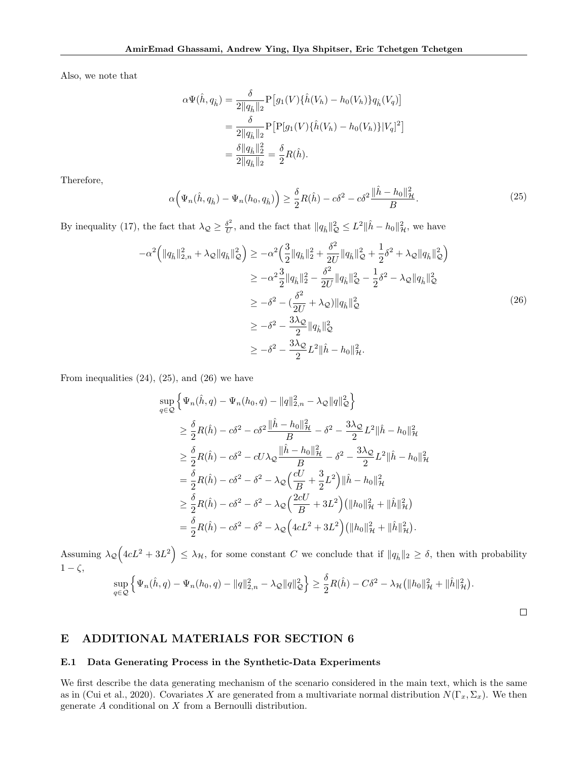Also, we note that

$$
\alpha \Psi(\hat{h}, q_{\hat{h}}) = \frac{\delta}{2||q_{\hat{h}}||_2} P[g_1(V)\{\hat{h}(V_h) - h_0(V_h)\}q_{\hat{h}}(V_q)]
$$
  
= 
$$
\frac{\delta}{2||q_{\hat{h}}||_2} P[P[g_1(V)\{\hat{h}(V_h) - h_0(V_h)\}|V_q]^2]
$$
  
= 
$$
\frac{\delta ||q_{\hat{h}}||_2^2}{2||q_{\hat{h}}||_2} = \frac{\delta}{2}R(\hat{h}).
$$

Therefore,

$$
\alpha \Big( \Psi_n(\hat{h}, q_{\hat{h}}) - \Psi_n(h_0, q_{\hat{h}}) \Big) \ge \frac{\delta}{2} R(\hat{h}) - c\delta^2 - c\delta^2 \frac{\|\hat{h} - h_0\|_{\mathcal{H}}^2}{B}.
$$
\n(25)

By inequality (17), the fact that  $\lambda_{\mathcal{Q}} \geq \frac{\delta^2}{U}$ , and the fact that  $||q_{\hat{h}}||_{\mathcal{Q}}^2 \leq L^2 ||\hat{h} - h_0||_{\mathcal{H}}^2$ , we have

$$
-\alpha^{2} (||q_{\hat{h}}||_{2,n}^{2} + \lambda_{\mathcal{Q}}||q_{\hat{h}}||_{\mathcal{Q}}^{2}) \geq -\alpha^{2} \Big(\frac{3}{2}||q_{\hat{h}}||_{2}^{2} + \frac{\delta^{2}}{2U}||q_{\hat{h}}||_{\mathcal{Q}}^{2} + \frac{1}{2}\delta^{2} + \lambda_{\mathcal{Q}}||q_{\hat{h}}||_{\mathcal{Q}}^{2}\Big) \n\geq -\alpha^{2} \frac{3}{2}||q_{\hat{h}}||_{2}^{2} - \frac{\delta^{2}}{2U}||q_{\hat{h}}||_{\mathcal{Q}}^{2} - \frac{1}{2}\delta^{2} - \lambda_{\mathcal{Q}}||q_{\hat{h}}||_{\mathcal{Q}}^{2} \n\geq -\delta^{2} - (\frac{\delta^{2}}{2U} + \lambda_{\mathcal{Q}})||q_{\hat{h}}||_{\mathcal{Q}}^{2} \n\geq -\delta^{2} - \frac{3\lambda_{\mathcal{Q}}}{2}||q_{\hat{h}}||_{\mathcal{Q}}^{2} \n\geq -\delta^{2} - \frac{3\lambda_{\mathcal{Q}}}{2}L^{2}||\hat{h} - h_{0}||_{\mathcal{H}}^{2}.
$$
\n(26)

From inequalities  $(24)$ ,  $(25)$ , and  $(26)$  we have

$$
\sup_{q\in\mathcal{Q}} \left\{ \Psi_n(\hat{h}, q) - \Psi_n(h_0, q) - ||q||_{2,n}^2 - \lambda_{\mathcal{Q}} ||q||_{\mathcal{Q}}^2 \right\}
$$
\n
$$
\geq \frac{\delta}{2} R(\hat{h}) - c\delta^2 - c\delta^2 \frac{||\hat{h} - h_0||_H^2}{B} - \delta^2 - \frac{3\lambda_{\mathcal{Q}}}{2} L^2 ||\hat{h} - h_0||_H^2
$$
\n
$$
\geq \frac{\delta}{2} R(\hat{h}) - c\delta^2 - cU\lambda_{\mathcal{Q}} \frac{||\hat{h} - h_0||_H^2}{B} - \delta^2 - \frac{3\lambda_{\mathcal{Q}}}{2} L^2 ||\hat{h} - h_0||_H^2
$$
\n
$$
= \frac{\delta}{2} R(\hat{h}) - c\delta^2 - \delta^2 - \lambda_{\mathcal{Q}} \left( \frac{cU}{B} + \frac{3}{2} L^2 \right) ||\hat{h} - h_0||_H^2
$$
\n
$$
\geq \frac{\delta}{2} R(\hat{h}) - c\delta^2 - \delta^2 - \lambda_{\mathcal{Q}} \left( \frac{2cU}{B} + 3L^2 \right) \left( ||h_0||_H^2 + ||\hat{h}||_H^2 \right)
$$
\n
$$
= \frac{\delta}{2} R(\hat{h}) - c\delta^2 - \delta^2 - \lambda_{\mathcal{Q}} \left( 4cL^2 + 3L^2 \right) \left( ||h_0||_H^2 + ||\hat{h}||_H^2 \right).
$$

Assuming  $\lambda_{\mathcal{Q}}\left(4cL^2 + 3L^2\right) \leq \lambda_{\mathcal{H}}$ , for some constant *C* we conclude that if  $||q_{\hat{h}}||_2 \geq \delta$ , then with probability  $1-\zeta$ ,<br> $\lim_{\epsilon \to 0} \int \Psi(\hat{h}, \epsilon) \Psi(h, \epsilon) \Psi(h, \epsilon) \leq ||\epsilon||^2 \sqrt{2} \sqrt{2}$ 

$$
\sup_{q\in\mathcal{Q}} \left\{ \Psi_n(\hat{h}, q) - \Psi_n(h_0, q) - ||q||_{2,n}^2 - \lambda_{\mathcal{Q}} ||q||_{\mathcal{Q}}^2 \right\} \ge \frac{\delta}{2} R(\hat{h}) - C\delta^2 - \lambda_{\mathcal{H}} (||h_0||_{\mathcal{H}}^2 + ||\hat{h}||_{\mathcal{H}}^2).
$$

 $\Box$ 

# E ADDITIONAL MATERIALS FOR SECTION 6

#### E.1 Data Generating Process in the Synthetic-Data Experiments

We first describe the data generating mechanism of the scenario considered in the main text, which is the same as in (Cui et al., 2020). Covariates *X* are generated from a multivariate normal distribution  $N(\Gamma_x, \Sigma_x)$ . We then generate *A* conditional on *X* from a Bernoulli distribution.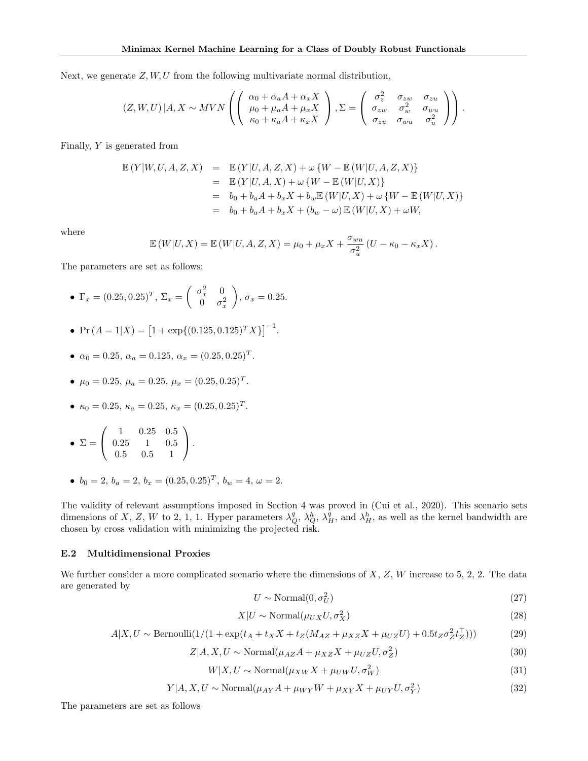Next, we generate *Z, W, U* from the following multivariate normal distribution,

$$
(Z, W, U) | A, X \sim MVN\left( \begin{pmatrix} \alpha_0 + \alpha_a A + \alpha_x X \\ \mu_0 + \mu_a A + \mu_x X \\ \kappa_0 + \kappa_a A + \kappa_x X \end{pmatrix}, \Sigma = \begin{pmatrix} \sigma_z^2 & \sigma_{zw} & \sigma_{zu} \\ \sigma_{zw} & \sigma_w^2 & \sigma_{wu} \\ \sigma_{zu} & \sigma_{wu} & \sigma_u^2 \end{pmatrix} \right).
$$

Finally, *Y* is generated from

$$
\mathbb{E}(Y|W, U, A, Z, X) = \mathbb{E}(Y|U, A, Z, X) + \omega \{W - \mathbb{E}(W|U, A, Z, X)\}
$$
  
\n
$$
= \mathbb{E}(Y|U, A, X) + \omega \{W - \mathbb{E}(W|U, X)\}
$$
  
\n
$$
= b_0 + b_a A + b_x X + b_w \mathbb{E}(W|U, X) + \omega \{W - \mathbb{E}(W|U, X)\}
$$
  
\n
$$
= b_0 + b_a A + b_x X + (b_w - \omega) \mathbb{E}(W|U, X) + \omega W,
$$

where

$$
\mathbb{E}(W|U,X) = \mathbb{E}(W|U,A,Z,X) = \mu_0 + \mu_x X + \frac{\sigma_{wu}}{\sigma_u^2} (U - \kappa_0 - \kappa_x X).
$$

The parameters are set as follows:

- $\Gamma_x = (0.25, 0.25)^T, \ \Sigma_x = \begin{pmatrix} \sigma_x^2 & 0 \\ 0 & \sigma_y^2 \end{pmatrix}$ 0  $\sigma_x^2$ ◆  $\sigma_x = 0.25$ .
- Pr  $(A = 1|X) = [1 + \exp{(0.125, 0.125)^T X}]^{-1}$ .
- $\alpha_0 = 0.25, \alpha_a = 0.125, \alpha_x = (0.25, 0.25)^T$ .
- $\mu_0 = 0.25, \mu_a = 0.25, \mu_x = (0.25, 0.25)^T$ .
- $\kappa_0 = 0.25, \, \kappa_a = 0.25, \, \kappa_x = (0.25, 0.25)^T$ .

• 
$$
\Sigma = \begin{pmatrix} 1 & 0.25 & 0.5 \\ 0.25 & 1 & 0.5 \\ 0.5 & 0.5 & 1 \end{pmatrix}
$$
.

•  $b_0 = 2, b_a = 2, b_x = (0.25, 0.25)^T, b_w = 4, \omega = 2.$ 

The validity of relevant assumptions imposed in Section 4 was proved in (Cui et al., 2020). This scenario sets dimensions of *X*, *Z*, *W* to 2, 1, 1. Hyper parameters  $\lambda_Q^q$ ,  $\lambda_Q^h$ ,  $\lambda_H^q$ , and  $\lambda_H^h$ , as well as the kernel bandwidth are chosen by cross validation with minimizing the projected risk.

#### E.2 Multidimensional Proxies

We further consider a more complicated scenario where the dimensions of *X*, *Z*, *W* increase to 5, 2, 2. The data are generated by

$$
U \sim \text{Normal}(0, \sigma_U^2) \tag{27}
$$

$$
X|U \sim \text{Normal}(\mu_{UX} U, \sigma_X^2)
$$
\n(28)

$$
A|X, U \sim \text{Bernoulli}(1/(1 + \exp(t_A + t_X X + t_Z(M_{AZ} + \mu_{XZ} X + \mu_{UZ} U) + 0.5t_Z \sigma_Z^2 t_Z^{\top})))
$$
(29)

$$
Z|A, X, U \sim \text{Normal}(\mu_{AZ}A + \mu_{XZ}X + \mu_{UZ}U, \sigma_Z^2)
$$
\n(30)

$$
W|X, U \sim \text{Normal}(\mu_{XW} X + \mu_{UW} U, \sigma_W^2)
$$
\n(31)

$$
Y|A, X, U \sim \text{Normal}(\mu_{AY}A + \mu_{WY}W + \mu_{XY}X + \mu_{UY}U, \sigma_Y^2)
$$
\n(32)

The parameters are set as follows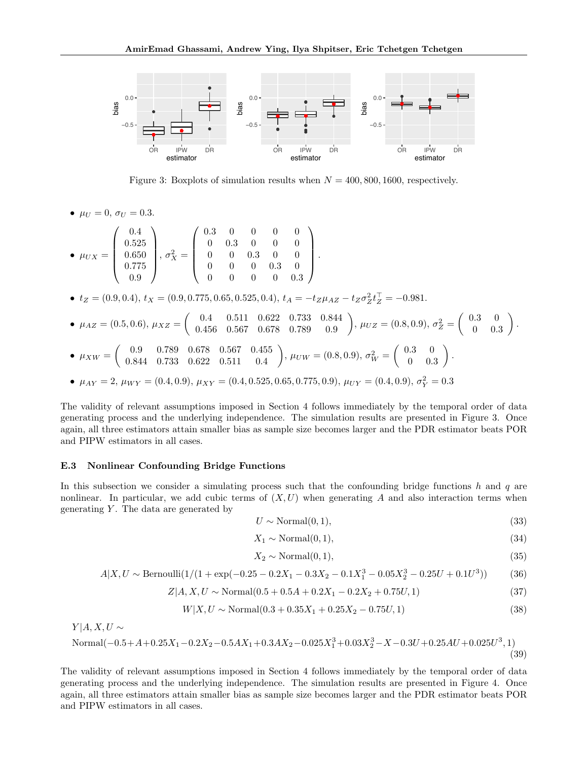

Figure 3: Boxplots of simulation results when  $N = 400, 800, 1600$ , respectively.

•  $\mu_U = 0, \sigma_U = 0.3.$ 

$$
\bullet \ \mu_{UX} = \left( \begin{array}{c} 0.4 \\ 0.525 \\ 0.650 \\ 0.775 \\ 0.9 \end{array} \right), \ \sigma_X^2 = \left( \begin{array}{cccc} 0.3 & 0 & 0 & 0 & 0 \\ 0 & 0.3 & 0 & 0 & 0 \\ 0 & 0 & 0.3 & 0 & 0 \\ 0 & 0 & 0 & 0.3 & 0 \\ 0 & 0 & 0 & 0 & 0.3 \end{array} \right).
$$

•  $t_Z = (0.9, 0.4), t_X = (0.9, 0.775, 0.65, 0.525, 0.4), t_A = -t_Z \mu_{AZ} - t_Z \sigma_Z^2 t_Z^{\top} = -0.981.$ 

\n- \n
$$
\mu_{AZ} = (0.5, 0.6), \quad \mu_{XZ} = \begin{pmatrix} 0.4 & 0.511 & 0.622 & 0.733 & 0.844 \\ 0.456 & 0.567 & 0.678 & 0.789 & 0.9 \end{pmatrix}, \quad\n \mu_{UZ} = (0.8, 0.9), \quad\n \sigma_Z^2 = \begin{pmatrix} 0.3 & 0 \\ 0 & 0.3 \end{pmatrix}.
$$
\n
\n- \n
$$
\mu_{XW} = \begin{pmatrix} 0.9 & 0.789 & 0.678 & 0.567 & 0.455 \\ 0.844 & 0.733 & 0.622 & 0.511 & 0.4 \end{pmatrix}, \quad\n \mu_{UW} = (0.8, 0.9), \quad\n \sigma_W^2 = \begin{pmatrix} 0.3 & 0 \\ 0 & 0.3 \end{pmatrix}.
$$
\n
\n- \n
$$
\mu_{AY} = 2, \quad\n \mu_{WY} = (0.4, 0.9), \quad\n \mu_{XY} = (0.4, 0.525, 0.65, 0.775, 0.9), \quad\n \mu_{UY} = (0.4, 0.9), \quad\n \sigma_Y^2 = 0.3
$$
\n
\n

The validity of relevant assumptions imposed in Section 4 follows immediately by the temporal order of data generating process and the underlying independence. The simulation results are presented in Figure 3. Once again, all three estimators attain smaller bias as sample size becomes larger and the PDR estimator beats POR and PIPW estimators in all cases.

#### E.3 Nonlinear Confounding Bridge Functions

In this subsection we consider a simulating process such that the confounding bridge functions *h* and *q* are nonlinear. In particular, we add cubic terms of  $(X, U)$  when generating *A* and also interaction terms when generating *Y* . The data are generated by

$$
U \sim \text{Normal}(0, 1),\tag{33}
$$

$$
X_1 \sim \text{Normal}(0, 1),\tag{34}
$$

$$
X_2 \sim \text{Normal}(0, 1),\tag{35}
$$

$$
A|X, U \sim \text{Bernoulli}(1/(1 + \exp(-0.25 - 0.2X_1 - 0.3X_2 - 0.1X_1^3 - 0.05X_2^3 - 0.25U + 0.1U^3))
$$
 (36)

$$
Z|A, X, U \sim \text{Normal}(0.5 + 0.5A + 0.2X_1 - 0.2X_2 + 0.75U, 1) \tag{37}
$$

$$
W|X, U \sim \text{Normal}(0.3 + 0.35X_1 + 0.25X_2 - 0.75U, 1) \tag{38}
$$

 $Y|A, X, U \sim$ 

Normal
$$
(-0.5 + A + 0.25X_1 - 0.2X_2 - 0.5AX_1 + 0.3AX_2 - 0.025X_1^3 + 0.03X_2^3 - X - 0.3U + 0.25AU + 0.025U^3, 1)
$$
  
(39)

The validity of relevant assumptions imposed in Section 4 follows immediately by the temporal order of data generating process and the underlying independence. The simulation results are presented in Figure 4. Once again, all three estimators attain smaller bias as sample size becomes larger and the PDR estimator beats POR and PIPW estimators in all cases.